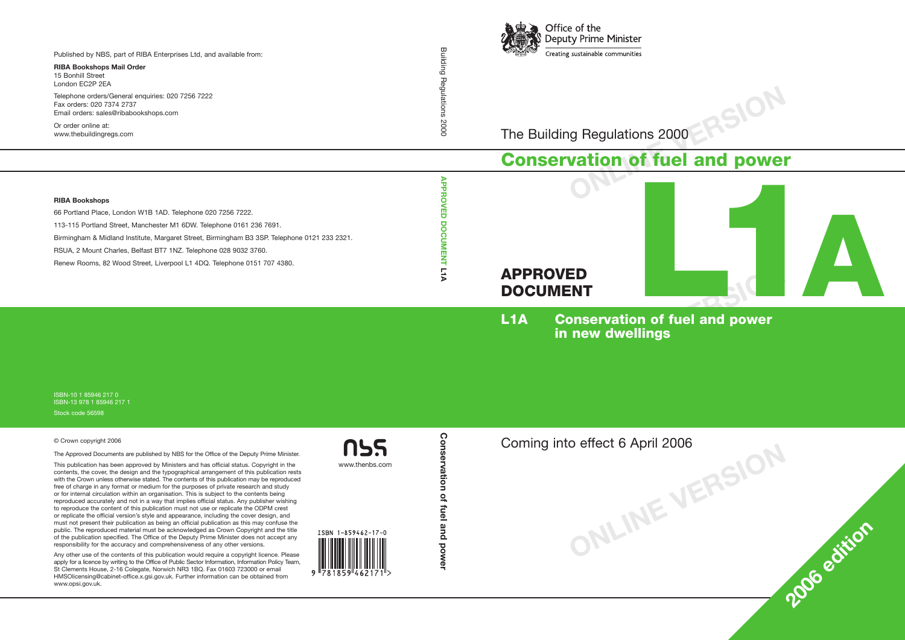

The Building Regulations 2000

## **Conservation of fuel and power**



**ONLINE VERSION**

**<sup>2006</sup> edition**

**L1A Conservation of fuel and power in new dwellings**

**ONLINE VERSION** Coming into effect 6 April 2006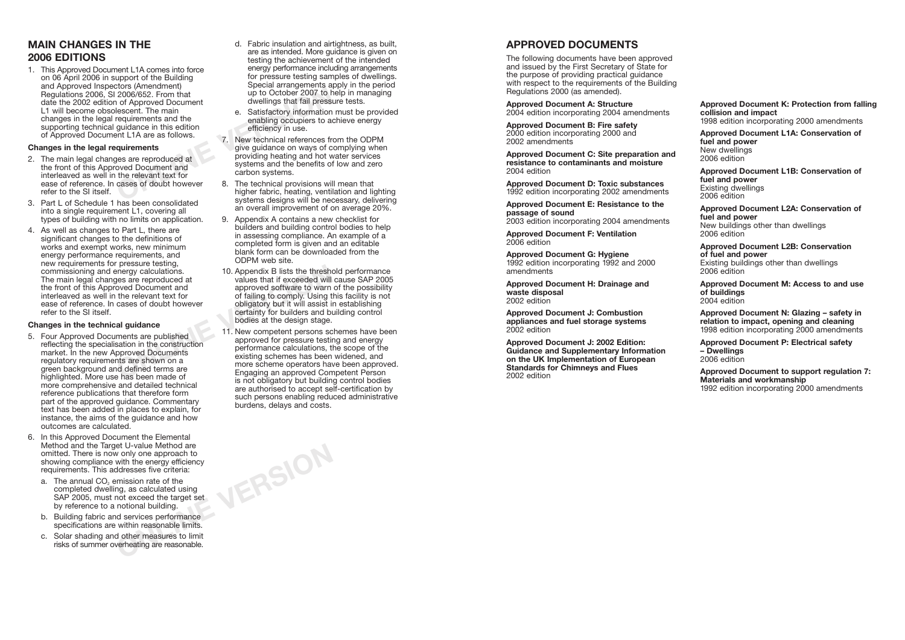### **MAIN CHANGES IN THE 2006 EDITIONS**

COOG/652. From that<br>
1 of Approved Document<br>
Iescent. The main<br>
requirements and the<br>
guidance in this edition<br>
e. Satisfactory information<br>
e. Satisfactory information<br>
e. Satisfactory information<br>
e. Satisfactory informa 1. This Approved Document L1A comes into force on 06 April 2006 in support of the Building and Approved Inspectors (Amendment) Regulations 2006, SI 2006/652. From that date the 2002 edition of Approved Document L1 will become obsolescent. The main changes in the legal requirements and the supporting technical guidance in this edition of Approved Document L1A are as follows.

#### **Changes in the legal requirements**

- 2. The main legal changes are reproduced at the front of this Approved Document and interleaved as well in the relevant text for ease of reference. In cases of doubt however refer to the SI itself.
- 3. Part L of Schedule 1 has been consolidated into a single requirement L1, covering all types of building with no limits on application.
- 4. As well as changes to Part L, there are significant changes to the definitions of works and exempt works, new minimum energy performance requirements, and new requirements for pressure testing, commissioning and energy calculations. The main legal changes are reproduced at the front of this Approved Document and interleaved as well in the relevant text for ease of reference. In cases of doubt however refer to the SI itself.

#### **Changes in the technical guidance**

- 5. Four Approved Documents are published reflecting the specialisation in the construction market. In the new Approved Documents regulatory requirements are shown on a green background and defined terms are highlighted. More use has been made of more comprehensive and detailed technical reference publications that therefore form part of the approved guidance. Commentary text has been added in places to explain, for instance, the aims of the guidance and how outcomes are calculated.
- 6. In this Approved Document the Elemental Method and the Target U-value Method are omitted. There is now only one approach to showing compliance with the energy efficiency requirements. This addresses five criteria:
	- a. The annual CO<sub>2</sub> emission rate of the completed dwelling, as calculated using SAP 2005, must not exceed the target set by reference to a notional building.
	- b. Building fabric and services performance specifications are within reasonable limits.
	- c. Solar shading and other measures to limit risks of summer overheating are reasonable.
- d. Fabric insulation and airtightness, as built, are as intended. More guidance is given on testing the achievement of the intended energy performance including arrangements for pressure testing samples of dwellings. Special arrangements apply in the period up to October 2007 to help in managing dwellings that fail pressure tests.
- e. Satisfactory information must be provided enabling occupiers to achieve energy efficiency in use.
- 7. New technical references from the ODPM give guidance on ways of complying when providing heating and hot water services systems and the benefits of low and zero carbon systems.
- 8. The technical provisions will mean that higher fabric, heating, ventilation and lighting systems designs will be necessary, delivering an overall improvement of on average 20%.
- 9. Appendix A contains a new checklist for builders and building control bodies to help in assessing compliance. An example of a completed form is given and an editable blank form can be downloaded from the ODPM web site.
- Free Sy calculations.<br>
She are reproduced at oved Document and<br>
the relevant text for<br>
cases of doubt however<br>
and the relevant text for<br>
cases of doubt however<br>
of failing to comply. Using t<br>
comply to builders and by<br>
al 10. Appendix B lists the threshold performance values that if exceeded will cause SAP 2005 approved software to warn of the possibility of failing to comply. Using this facility is not obligatory but it will assist in establishing certainty for builders and building control bodies at the design stage.
	- 11. New competent persons schemes have been approved for pressure testing and energy performance calculations, the scope of the existing schemes has been widened, and more scheme operators have been approved. Engaging an approved Competent Person is not obligatory but building control bodies are authorised to accept self-certification by such persons enabling reduced administrative burdens, delays and costs.

**ONLINE VERSION**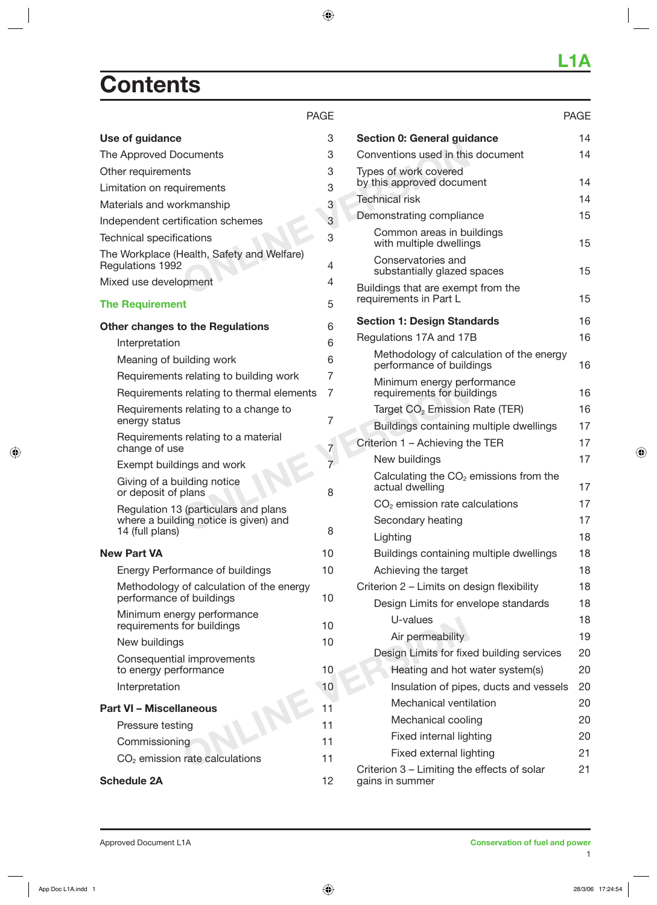## **Contents**

#### PAGE

| Use of guidance                                                | 3              | Section 0: General guid                       |
|----------------------------------------------------------------|----------------|-----------------------------------------------|
| The Approved Documents                                         | 3              | Conventions used in this                      |
| Other requirements                                             | 3              | Types of work covered                         |
| Limitation on requirements                                     | 3              | by this approved docum                        |
| Materials and workmanship                                      | 3              | <b>Technical risk</b>                         |
| Independent certification schemes                              | 3              | Demonstrating compliar                        |
| <b>Technical specifications</b>                                | 3              | Common areas in bu<br>with multiple dwellin   |
| The Workplace (Health, Safety and Welfare)<br>Regulations 1992 | 4              | Conservatories and<br>substantially glazed    |
| Mixed use development                                          | 4              | Buildings that are exemp                      |
| <b>The Requirement</b>                                         | 5              | requirements in Part L                        |
| <b>Other changes to the Regulations</b>                        | 6              | <b>Section 1: Design Stan</b>                 |
| Interpretation                                                 | 6              | Regulations 17A and 17                        |
| Meaning of building work                                       | 6              | Methodology of calc<br>performance of build   |
| Requirements relating to building work                         | 7              | Minimum energy per                            |
| Requirements relating to thermal elements                      | 7              | requirements for bui                          |
| Requirements relating to a change to                           |                | Target CO <sub>2</sub> Emission               |
| energy status                                                  | 7              | <b>Buildings containing</b>                   |
| Requirements relating to a material<br>change of use           | 7              | Criterion 1 - Achieving t                     |
| Exempt buildings and work                                      | $\overline{7}$ | New buildings                                 |
| Giving of a building notice<br>or deposit of plans             | 8              | Calculating the $CO2$<br>actual dwelling      |
| Regulation 13 (particulars and plans                           |                | $CO2$ emission rate ca                        |
| where a building notice is given) and                          |                | Secondary heating                             |
| 14 (full plans)                                                | 8              | Lighting                                      |
| <b>New Part VA</b>                                             | 10             | <b>Buildings containing</b>                   |
| <b>Energy Performance of buildings</b>                         | 10             | Achieving the target                          |
| Methodology of calculation of the energy                       |                | Criterion 2 - Limits on d                     |
| performance of buildings                                       | 10             | Design Limits for en                          |
| Minimum energy performance<br>requirements for buildings       | 10             | U-values                                      |
| New buildings                                                  | 10             | Air permeability                              |
| Consequential improvements                                     |                | Design Limits for fixe                        |
| to energy performance                                          | 10             | Heating and hot                               |
| Interpretation                                                 | 10             | Insulation of pipe                            |
| <b>Part VI - Miscellaneous</b>                                 | 11             | Mechanical venti                              |
| Pressure testing                                               | 11             | Mechanical cooli                              |
| Commissioning                                                  | 11             | Fixed internal ligl                           |
| $CO2$ emission rate calculations                               | 11             | Fixed external lig                            |
| <b>Schedule 2A</b>                                             | 12             | Criterion 3 - Limiting the<br>gains in summer |

|                                                                      | PAGE |
|----------------------------------------------------------------------|------|
| Section 0: General guidance                                          | 14   |
| Conventions used in this document                                    | 14   |
| Types of work covered<br>by this approved document                   | 14   |
| <b>Technical risk</b>                                                | 14   |
| Demonstrating compliance                                             | 15   |
| Common areas in buildings<br>with multiple dwellings                 | 15   |
| Conservatories and<br>substantially glazed spaces                    | 15   |
| Buildings that are exempt from the<br>requirements in Part L         | 15   |
| <b>Section 1: Design Standards</b>                                   | 16   |
| Regulations 17A and 17B                                              | 16   |
| Methodology of calculation of the energy<br>performance of buildings | 16   |
| Minimum energy performance<br>requirements for buildings             | 16   |
| Target CO <sub>2</sub> Emission Rate (TER)                           | 16   |
| Buildings containing multiple dwellings                              | 17   |
| Criterion 1 - Achieving the TER                                      | 17   |
| New buildings                                                        | 17   |
| Calculating the $CO2$ emissions from the<br>actual dwelling          | 17   |
| $CO2$ emission rate calculations                                     | 17   |
| Secondary heating                                                    | 17   |
| Lighting                                                             | 18   |
| Buildings containing multiple dwellings                              | 18   |
| Achieving the target                                                 | 18   |
| Criterion 2 – Limits on design flexibility                           | 18   |
| Design Limits for envelope standards                                 | 18   |
| U-values                                                             | 18   |
| Air permeability                                                     | 19   |
| Design Limits for fixed building services                            | 20   |
| Heating and hot water system(s)                                      | 20   |
| Insulation of pipes, ducts and vessels                               | 20   |
| Mechanical ventilation                                               | 20   |
| Mechanical cooling                                                   | 20   |
| Fixed internal lighting                                              | 20   |
| Fixed external lighting                                              | 21   |

Criterion 3 – Limiting the effects of solar 21 gains in summer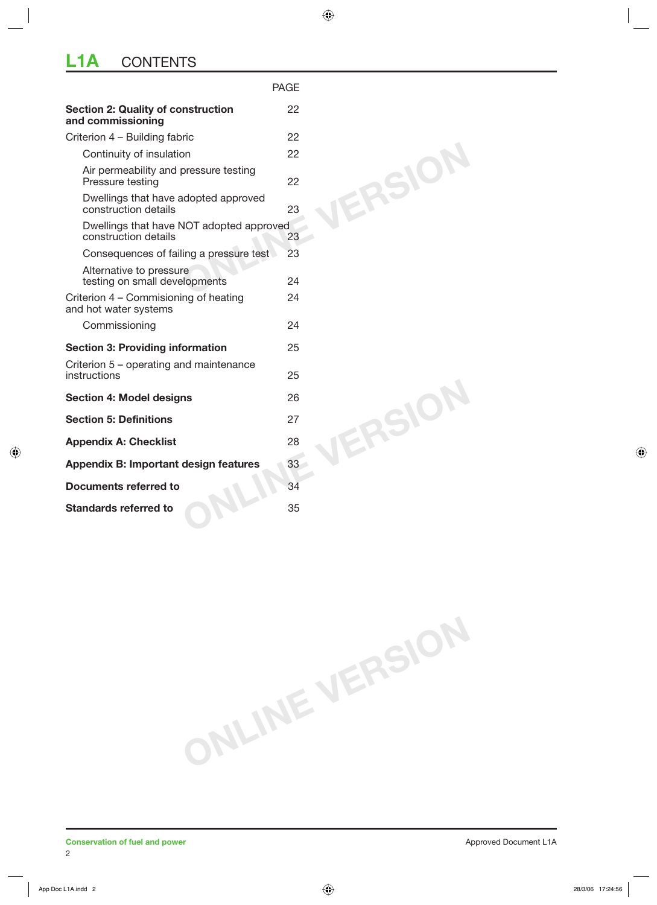## **L1A** CONTENTS

|                                                                  | <b>PAGE</b> |
|------------------------------------------------------------------|-------------|
| <b>Section 2: Quality of construction</b><br>and commissioning   | 22          |
| Criterion 4 - Building fabric                                    | 22          |
| Continuity of insulation                                         | 22          |
| Air permeability and pressure testing<br>Pressure testing        | ERSIO<br>22 |
| Dwellings that have adopted approved<br>construction details     | 23          |
| Dwellings that have NOT adopted approved<br>construction details | 23          |
| Consequences of failing a pressure test                          | 23          |
| Alternative to pressure<br>testing on small developments         | 24          |
| Criterion 4 – Commisioning of heating<br>and hot water systems   | 24          |
| Commissioning                                                    | 24          |
| <b>Section 3: Providing information</b>                          | 25          |
| Criterion 5 – operating and maintenance<br>instructions          | 25          |
| <b>Section 4: Model designs</b>                                  | 26          |
| <b>Section 5: Definitions</b>                                    | ERSIO<br>27 |
| <b>Appendix A: Checklist</b>                                     | 28          |
| Appendix B: Important design features                            | 33          |
| Documents referred to                                            | 34          |
| <b>Standards referred to</b>                                     | 35          |

**ONLINE VERSION**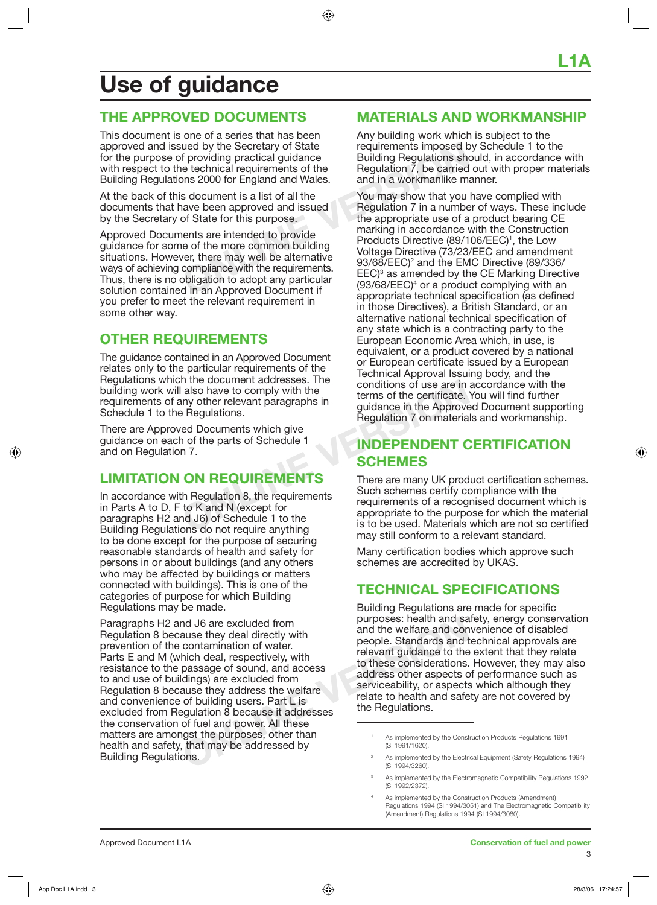## **Use of guidance**

#### **THE APPROVED DOCUMENTS**

This document is one of a series that has been approved and issued by the Secretary of State for the purpose of providing practical guidance with respect to the technical requirements of the Building Regulations 2000 for England and Wales.

At the back of this document is a list of all the documents that have been approved and issued by the Secretary of State for this purpose.

Approved Documents are intended to provide guidance for some of the more common building situations. However, there may well be alternative ways of achieving compliance with the requirements. Thus, there is no obligation to adopt any particular solution contained in an Approved Document if you prefer to meet the relevant requirement in some other way.

### **OTHER REQUIREMENTS**

The guidance contained in an Approved Document relates only to the particular requirements of the Regulations which the document addresses. The building work will also have to comply with the requirements of any other relevant paragraphs in Schedule 1 to the Regulations.

There are Approved Documents which give guidance on each of the parts of Schedule 1 and on Regulation 7.

#### **LIMITATION ON REQUIREMENTS**

In accordance with Regulation 8, the requirements in Parts A to D, F to K and N (except for paragraphs H2 and J6) of Schedule 1 to the Building Regulations do not require anything to be done except for the purpose of securing reasonable standards of health and safety for persons in or about buildings (and any others who may be affected by buildings or matters connected with buildings). This is one of the categories of purpose for which Building Regulations may be made.

**ONCORRED SERVIDE THE CONCRETED SERVIDE SERVIDE SERVIDE SERVIDE SERVIDE SERVIDE SERVIDE SERVIDE STATEM THE PASSAGE OF SUITE SERVIDE SERVIDE SERVIDE SERVIDE SUITE OF SUITE OF SUITE SERVIDE SUITE SERVIDE SUITE SERVIDE SUITE** Paragraphs H2 and J6 are excluded from Regulation 8 because they deal directly with prevention of the contamination of water. Parts E and M (which deal, respectively, with resistance to the passage of sound, and access to and use of buildings) are excluded from Regulation 8 because they address the welfare and convenience of building users. Part L is excluded from Regulation 8 because it addresses the conservation of fuel and power. All these matters are amongst the purposes, other than health and safety, that may be addressed by Building Regulations.

#### **MATERIALS AND WORKMANSHIP**

Any building work which is subject to the requirements imposed by Schedule 1 to the Building Regulations should, in accordance with Regulation 7, be carried out with proper materials and in a workmanlike manner.

and by the Secretary of State<br>
f providing practical guidance<br>
be technical requirements of the<br>
Dialiding Regulations show<br>
and in a workmanike m<br>
s document is a list of all the<br>
s document is a list of all the<br>
s docume You may show that you have complied with Regulation 7 in a number of ways. These include the appropriate use of a product bearing CE marking in accordance with the Construction Products Directive (89/106/EEC)<sup>1</sup>, the Low Voltage Directive (73/23/EEC and amendment 93/68/EEC)<sup>2</sup> and the EMC Directive (89/336/ EEC)<sup>3</sup> as amended by the CE Marking Directive  $(93/68/EEC)<sup>4</sup>$  or a product complying with an appropriate technical specification (as defined in those Directives), a British Standard, or an alternative national technical specification of any state which is a contracting party to the European Economic Area which, in use, is equivalent, or a product covered by a national or European certificate issued by a European Technical Approval Issuing body, and the conditions of use are in accordance with the terms of the certificate. You will find further guidance in the Approved Document supporting Regulation 7 on materials and workmanship.

#### **INDEPENDENT CERTIFICATION SCHEMES**

France discontinent and account to the parts of the centricate.<br>
Pregulations.<br>
Pregulations.<br>
Pregulations of the parts of Schedule 1<br>
Pregulation 7 on materia<br>
Pregulation 7 on materia<br>
Pregulation 7 on materia<br>
Pregulat There are many UK product certification schemes. Such schemes certify compliance with the requirements of a recognised document which is appropriate to the purpose for which the material is to be used. Materials which are not so certified may still conform to a relevant standard.

> Many certification bodies which approve such schemes are accredited by UKAS.

#### **TECHNICAL SPECIFICATIONS**

Building Regulations are made for specific purposes: health and safety, energy conservation and the welfare and convenience of disabled people. Standards and technical approvals are relevant guidance to the extent that they relate to these considerations. However, they may also address other aspects of performance such as serviceability, or aspects which although they relate to health and safety are not covered by the Regulations.

4

<sup>1</sup> As implemented by the Construction Products Regulations 1991 (SI 1991/1620).

<sup>2</sup> As implemented by the Electrical Equipment (Safety Regulations 1994) (SI 1994/3260).

<sup>3</sup> As implemented by the Electromagnetic Compatibility Regulations 1992 (SI 1992/2372).

As implemented by the Construction Products (Amendment) Regulations 1994 (SI 1994/3051) and The Electromagnetic Compatibility (Amendment) Regulations 1994 (SI 1994/3080).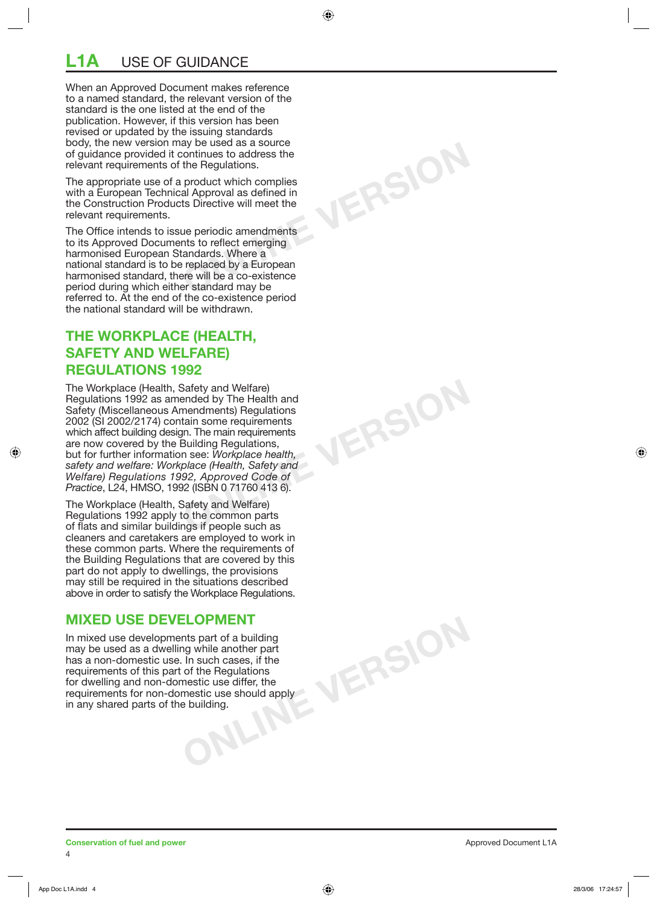## **L1A** USE OF GUIDANCE

When an Approved Document makes reference to a named standard, the relevant version of the standard is the one listed at the end of the publication. However, if this version has been revised or updated by the issuing standards body, the new version may be used as a source of guidance provided it continues to address the relevant requirements of the Regulations.

The appropriate use of a product which complies with a European Technical Approval as defined in the Construction Products Directive will meet the relevant requirements.

**ONLINE VERSION**

**ONLINE VERSION**

The Office intends to issue periodic amendments to its Approved Documents to reflect emerging harmonised European Standards. Where a national standard is to be replaced by a European harmonised standard, there will be a co-existence period during which either standard may be referred to. At the end of the co-existence period the national standard will be withdrawn.

#### **THE WORKPLACE (HEALTH, SAFETY AND WELFARE) REGULATIONS 1992**

The Workplace (Health, Safety and Welfare) Regulations 1992 as amended by The Health and Safety (Miscellaneous Amendments) Regulations 2002 (SI 2002/2174) contain some requirements which affect building design. The main requirements are now covered by the Building Regulations, but for further information see: *Workplace health, safety and welfare: Workplace (Health, Safety and Welfare) Regulations 1992, Approved Code of Practice*, L<sub>24</sub>, HMSO, 1992 (ISBN 0 71760 413 6).

The Workplace (Health, Safety and Welfare) Regulations 1992 apply to the common parts of flats and similar buildings if people such as cleaners and caretakers are employed to work in these common parts. Where the requirements of the Building Regulations that are covered by this part do not apply to dwellings, the provisions may still be required in the situations described above in order to satisfy the Workplace Regulations.

#### **MIXED USE DEVELOPMENT**

**ONLINE**<br> **ONLINE** IS NOT THE REQUIRERED ONLY<br>
Stic use should apply<br> **Inding.** In mixed use developments part of a building may be used as a dwelling while another part has a non-domestic use. In such cases, if the requirements of this part of the Regulations for dwelling and non-domestic use differ, the requirements for non-domestic use should apply in any shared parts of the building.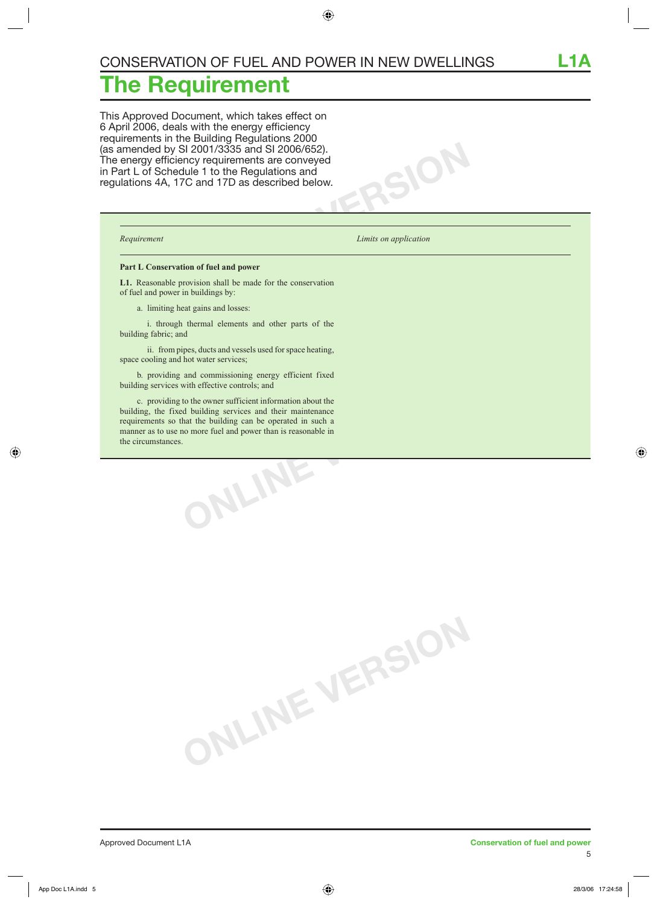## **he Requirement**

This Approved Document, which takes effect on 6 April 2006, deals with the energy efficiency requirements in the Building Regulations 2000 (as amended by SI 2001/3335 and SI 2006/652). The energy efficiency requirements are conveyed in Part L of Schedule 1 to the Regulations and regulations 4A, 17C and 17D as described below.

*Requirement Limits on application* 

 $SOR$ 

#### **Part L Conservation of fuel and power**

**L1.** Reasonable provision shall be made for the conservation of fuel and power in buildings by:

a. limiting heat gains and losses:

 i. through thermal elements and other parts of the building fabric; and

 ii. from pipes, ducts and vessels used for space heating, space cooling and hot water services;

 b. providing and commissioning energy efficient fixed building services with effective controls; and

**ONLINE VERSION** c. providing to the owner sufficient information about the building, the fixed building services and their maintenance requirements so that the building can be operated in such a manner as to use no more fuel and power than is reasonable in the circumstances.

**ONLINE VERSION**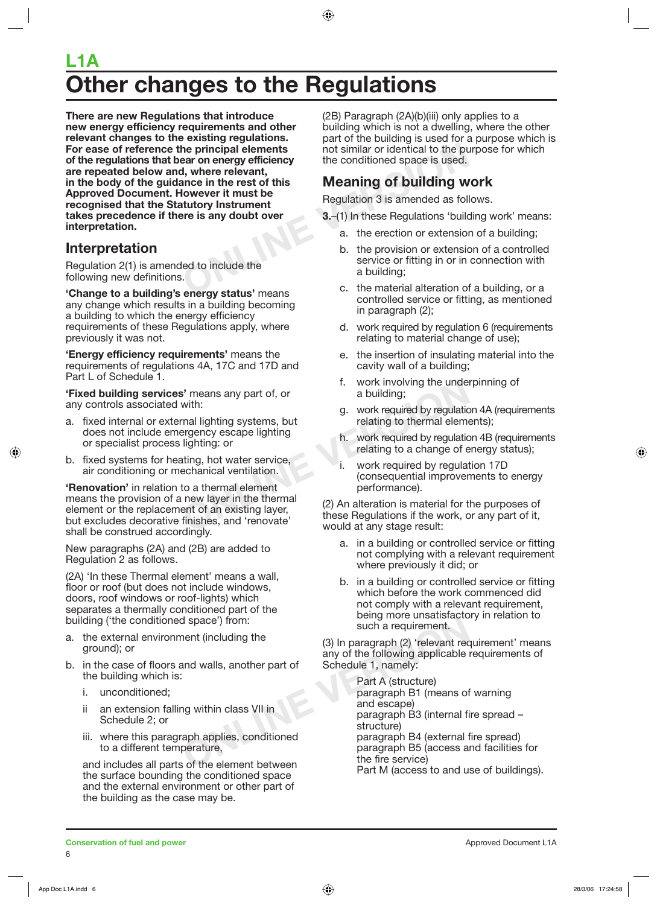## **Other changes to the Regulations L1A**

**Example 10** the principal elements in the rest of this the conditioned space is used.<br> **ONLINER ANCE THE VERSION OF SAMPLE THE VALUATION CONCRETER INCONTRATION INSTRUMENT THAT THE IS any doubt over<br>
<b>ONLINER THE VALUATION There are new Regulations that introduce new energy efficiency requirements and other relevant changes to the existing regulations. For ease of reference the principal elements of the regulations that bear on energy efficiency are repeated below and, where relevant, in the body of the guidance in the rest of this Approved Document. However it must be recognised that the Statutory Instrument takes precedence if there is any doubt over interpretation.**

### **Interpretation**

Regulation 2(1) is amended to include the following new definitions.

**'Change to a building's energy status'** means any change which results in a building becoming a building to which the energy efficiency requirements of these Regulations apply, where previously it was not.

**'Energy efficiency requirements'** means the requirements of regulations 4A, 17C and 17D and Part L of Schedule 1.

**'Fixed building services'** means any part of, or any controls associated with:

- a. fixed internal or external lighting systems, but does not include emergency escape lighting or specialist process lighting: or
- b. fixed systems for heating, hot water service, air conditioning or mechanical ventilation.

**S'** means any part of, or<br>
with:<br>
th:<br>
on a building;<br>
on a building;<br>
on a building;<br>
g. work required by regulation<br>
lighting: or<br>
lighting: or<br>
lighting: or<br>
thing, hot water service,<br>
echanical ventilation.<br>
to a ther **'Renovation'** in relation to a thermal element means the provision of a new layer in the thermal element or the replacement of an existing layer, but excludes decorative finishes, and 'renovate' shall be construed accordingly.

New paragraphs (2A) and (2B) are added to Regulation 2 as follows.

(2A) 'In these Thermal element' means a wall, floor or roof (but does not include windows, doors, roof windows or roof-lights) which separates a thermally conditioned part of the building ('the conditioned space') from:

- a. the external environment (including the ground); or
- b. in the case of floors and walls, another part of the building which is:
	- i. unconditioned;
	- ii an extension falling within class VII in Schedule 2; or
	- iii. where this paragraph applies, conditioned to a different temperature,

and includes all parts of the element between the surface bounding the conditioned space and the external environment or other part of the building as the case may be.

(2B) Paragraph (2A)(b)(iii) only applies to a building which is not a dwelling, where the other part of the building is used for a purpose which is not similar or identical to the purpose for which the conditioned space is used.

#### **Meaning of building work**

Regulation 3 is amended as follows.

- **3.**–(1) In these Regulations 'building work' means:
	- a. the erection or extension of a building;
	- b. the provision or extension of a controlled service or fitting in or in connection with a building;
	- c. the material alteration of a building, or a controlled service or fitting, as mentioned in paragraph (2);
	- d. work required by regulation 6 (requirements relating to material change of use);
	- e. the insertion of insulating material into the cavity wall of a building;
	- f. work involving the underpinning of a building;
	- g. work required by regulation 4A (requirements relating to thermal elements);
	- h. work required by regulation 4B (requirements relating to a change of energy status);
	- i. work required by regulation 17D (consequential improvements to energy performance).

(2) An alteration is material for the purposes of these Regulations if the work, or any part of it, would at any stage result:

- a. in a building or controlled service or fitting not complying with a relevant requirement where previously it did; or
- b. in a building or controlled service or fitting which before the work commenced did not comply with a relevant requirement, being more unsatisfactory in relation to such a requirement.

(3) In paragraph (2) 'relevant requirement' means any of the following applicable requirements of Schedule 1, namely:

d space') from:<br>
nent (including the<br>
and walls, another part of<br>
and walls, another part of<br>
Schedule 1, namely:<br>
Part A (structure)<br>
paragraph B1 (means of<br>
ng within class VII in<br>
applies, conditioned<br>
perature,<br>
so f t Part A (structure) paragraph B1 (means of warning and escape) paragraph B3 (internal fire spread – structure) paragraph B4 (external fire spread) paragraph B5 (access and facilities for the fire service) Part M (access to and use of buildings).

**Conservation of fuel and power Conservation of the and power** Approved Document L1A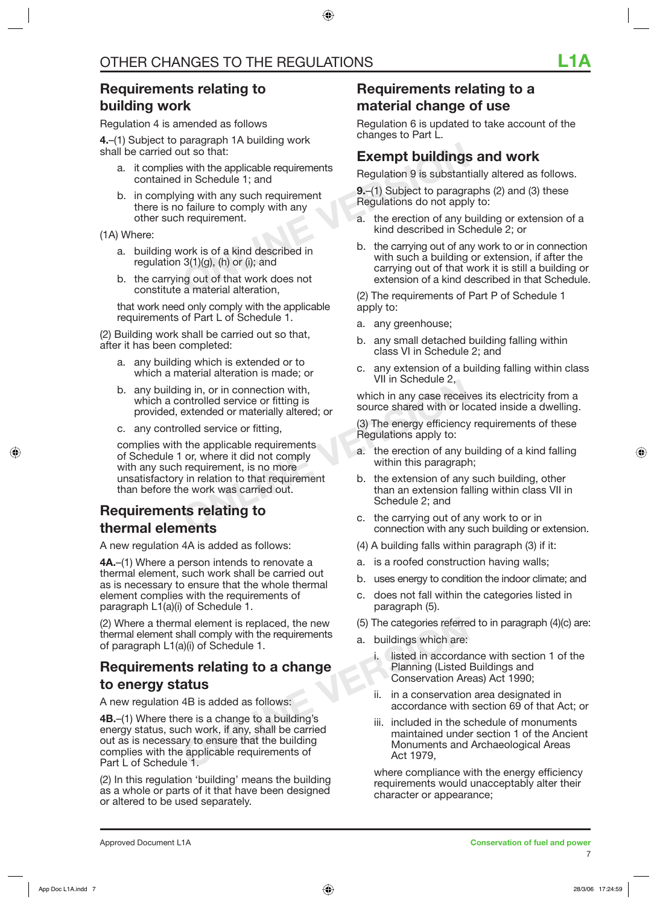### **Requirements relating to building work**

Regulation 4 is amended as follows

**4.**–(1) Subject to paragraph 1A building work shall be carried out so that:

- a. it complies with the applicable requirements contained in Schedule 1; and
- b. in complying with any such requirement there is no failure to comply with any other such requirement.

(1A) Where:

- a. building work is of a kind described in regulation  $3(1)(g)$ , (h) or (i); and
- b. the carrying out of that work does not constitute a material alteration,

 that work need only comply with the applicable requirements of Part L of Schedule 1.

(2) Building work shall be carried out so that, after it has been completed:

- a. any building which is extended or to which a material alteration is made; or
- b. any building in, or in connection with, which a controlled service or fitting is provided, extended or materially altered; or
- c. any controlled service or fitting,

and in the applicable requirements<br>
ontrolled service or fitting is<br>
bled service or fitting,<br>
bled service or fitting,<br>
bled service or fitting,<br>
or, where it did not comply<br>
or, where it did not comply<br>
a. the erection o complies with the applicable requirements of Schedule 1 or, where it did not comply with any such requirement, is no more unsatisfactory in relation to that requirement than before the work was carried out.

#### **Requirements relating to thermal elements**

A new regulation 4A is added as follows:

**4A.**–(1) Where a person intends to renovate a thermal element, such work shall be carried out as is necessary to ensure that the whole thermal element complies with the requirements of paragraph L1(a)(i) of Schedule 1.

(2) Where a thermal element is replaced, the new thermal element shall comply with the requirements of paragraph L1(a)(i) of Schedule 1.

### **Requirements relating to a change to energy status**

A new regulation 4B is added as follows:

**Example 1.** Included in the step is a change of a change of a change of a change of a change of a change of a change of a change of a change of a change of a corda Planning (Listed in accorda<br> **ALUS** (AB is added as follo **4B.**–(1) Where there is a change to a building's energy status, such work, if any, shall be carried out as is necessary to ensure that the building complies with the applicable requirements of Part L of Schedule 1.

(2) In this regulation 'building' means the building as a whole or parts of it that have been designed or altered to be used separately.

#### **Requirements relating to a material change of use**

Regulation 6 is updated to take account of the changes to Part L.

#### **Exempt buildings and work**

Regulation 9 is substantially altered as follows.

**9.**–(1) Subject to paragraphs (2) and (3) these Regulations do not apply to:

- a. the erection of any building or extension of a kind described in Schedule 2; or
- Exempt buildings<br>
ut so that:<br>
in Schedule 1; and<br>
ing with any such requirement<br>
b failure to comply with any<br>
n requirement.<br>
Notation of a kind described in<br>
ork is of a kind described in<br>
Schedule 1; and<br>
a. the erecti b. the carrying out of any work to or in connection with such a building or extension, if after the carrying out of that work it is still a building or extension of a kind described in that Schedule.

(2) The requirements of Part P of Schedule 1 apply to:

- a. any greenhouse;
- b. any small detached building falling within class VI in Schedule 2; and
- c. any extension of a building falling within class VII in Schedule 2,

which in any case receives its electricity from a source shared with or located inside a dwelling.

(3) The energy efficiency requirements of these Regulations apply to:

- a. the erection of any building of a kind falling within this paragraph;
- b. the extension of any such building, other than an extension falling within class VII in Schedule 2; and
- c. the carrying out of any work to or in connection with any such building or extension.
- (4) A building falls within paragraph (3) if it:
- a. is a roofed construction having walls;
- b. uses energy to condition the indoor climate; and
- c. does not fall within the categories listed in paragraph (5).
- (5) The categories referred to in paragraph (4)(c) are:
- a. buildings which are:
	- i. listed in accordance with section 1 of the Planning (Listed Buildings and Conservation Areas) Act 1990;
	- ii. in a conservation area designated in accordance with section 69 of that Act; or
	- iii. included in the schedule of monuments maintained under section 1 of the Ancient Monuments and Archaeological Areas Act 1979,

 where compliance with the energy efficiency requirements would unacceptably alter their character or appearance;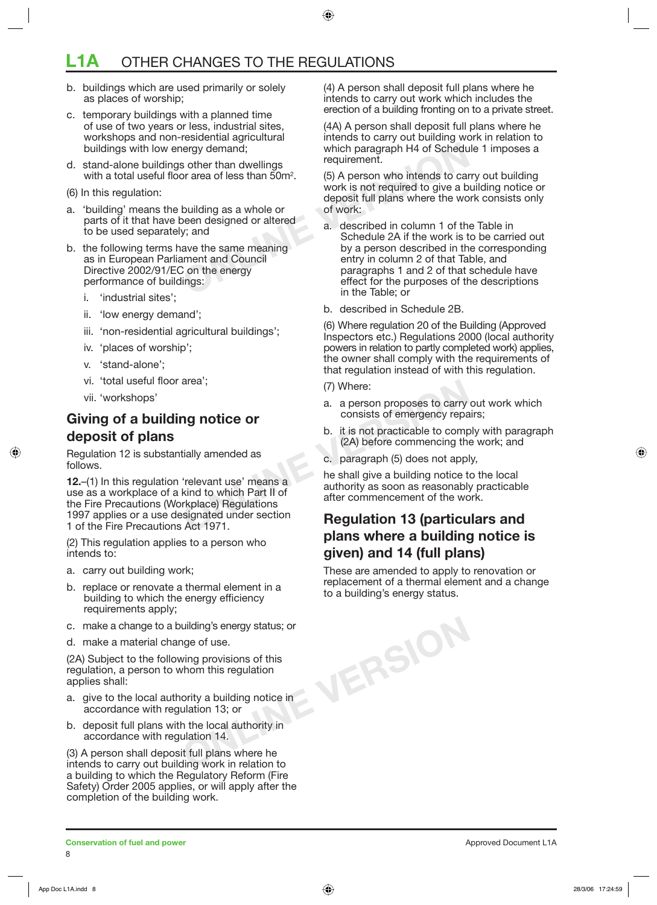## **L1A** OTHER CHANGES TO THE REGULATIONS

- b. buildings which are used primarily or solely as places of worship;
- c. temporary buildings with a planned time of use of two years or less, industrial sites, workshops and non-residential agricultural buildings with low energy demand;
- d. stand-alone buildings other than dwellings with a total useful floor area of less than  $50m^2$ .
- (6) In this regulation:
- a. 'building' means the building as a whole or parts of it that have been designed or altered to be used separately; and
- b. the following terms have the same meaning as in European Parliament and Council Directive 2002/91/EC on the energy performance of buildings:
	- i. 'industrial sites';
	- ii. 'low energy demand';
	- iii. 'non-residential agricultural buildings';
	- iv. 'places of worship';
	- v. 'stand-alone';
	- vi. 'total useful floor area';
	- vii. 'workshops'

#### **Giving of a building notice or deposit of plans**

Regulation 12 is substantially amended as follows.

area; (7) Where:<br>
a. a person proposes to carry<br>
consists of emergency repare<br>
b. it is not practicable to comp<br>
(2A) before commencing the<br>
tially amended as<br>
(2A) before commencing the<br>
(2A) before commencing the<br>
c. par **12.**–(1) In this regulation 'relevant use' means a use as a workplace of a kind to which Part II of the Fire Precautions (Workplace) Regulations 1997 applies or a use designated under section 1 of the Fire Precautions Act 1971.

(2) This regulation applies to a person who intends to:

- a. carry out building work;
- b. replace or renovate a thermal element in a building to which the energy efficiency requirements apply;
- c. make a change to a building's energy status; or
- d. make a material change of use.

(2A) Subject to the following provisions of this regulation, a person to whom this regulation applies shall:

- a. give to the local authority a building notice in accordance with regulation 13; or
- b. deposit full plans with the local authority in accordance with regulation 14.

(3) A person shall deposit full plans where he intends to carry out building work in relation to a building to which the Regulatory Reform (Fire Safety) Order 2005 applies, or will apply after the completion of the building work.

(4) A person shall deposit full plans where he intends to carry out work which includes the erection of a building fronting on to a private street.

(4A) A person shall deposit full plans where he intends to carry out building work in relation to which paragraph H4 of Schedule 1 imposes a requirement.

(5) A person who intends to carry out building work is not required to give a building notice or deposit full plans where the work consists only of work:

- **Example 1999 demand;**<br>
Summary demand;<br>
Summary demand;<br>
On area of less than 50m<sup>2</sup>.<br>
(5) A person who intends to can<br>
work is not required to give a b<br>
building as a whole or<br>
deposit full plans where the wo<br>
deposit fu a. described in column 1 of the Table in Schedule 2A if the work is to be carried out by a person described in the corresponding entry in column 2 of that Table, and paragraphs 1 and 2 of that schedule have effect for the purposes of the descriptions in the Table; or
	- b. described in Schedule 2B.

(6) Where regulation 20 of the Building (Approved Inspectors etc.) Regulations 2000 (local authority powers in relation to partly completed work) applies, the owner shall comply with the requirements of that regulation instead of with this regulation.

- (7) Where:
- a. a person proposes to carry out work which consists of emergency repairs;
- b. it is not practicable to comply with paragraph (2A) before commencing the work; and
- c. paragraph (5) does not apply,

**ONLINE VERSION**

he shall give a building notice to the local authority as soon as reasonably practicable after commencement of the work.

### **Regulation 13 (particulars and plans where a building notice is given) and 14 (full plans)**

These are amended to apply to renovation or replacement of a thermal element and a change to a building's energy status.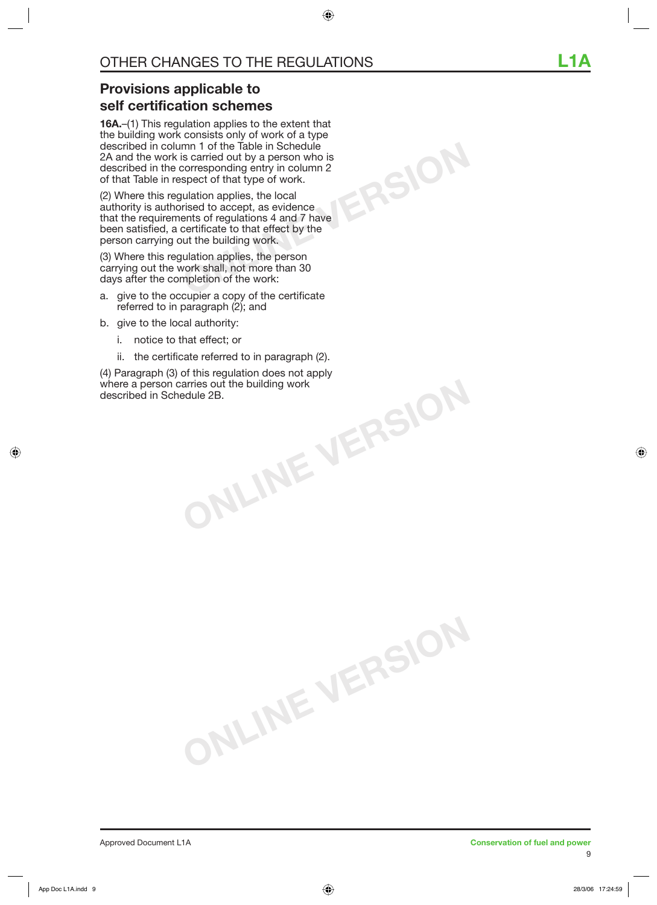**ONLINE VERSION**

## **Provisions applicable to self certification schemes**

**16A.**–(1) This regulation applies to the extent that the building work consists only of work of a type described in column 1 of the Table in Schedule 2A and the work is carried out by a person who is described in the corresponding entry in column 2 of that Table in respect of that type of work.

(2) Where this regulation applies, the local authority is authorised to accept, as evidence that the requirements of regulations 4 and 7 have been satisfied, a certificate to that effect by the person carrying out the building work.

(3) Where this regulation applies, the person carrying out the work shall, not more than 30 days after the completion of the work:

- a. give to the occupier a copy of the certificate referred to in paragraph (2); and
- b. give to the local authority:
	- i. notice to that effect; or
	- ii. the certificate referred to in paragraph (2).

**ONLINE VERSION**

**ONLINE VERSION** (4) Paragraph (3) of this regulation does not apply where a person carries out the building work described in Schedule 2B.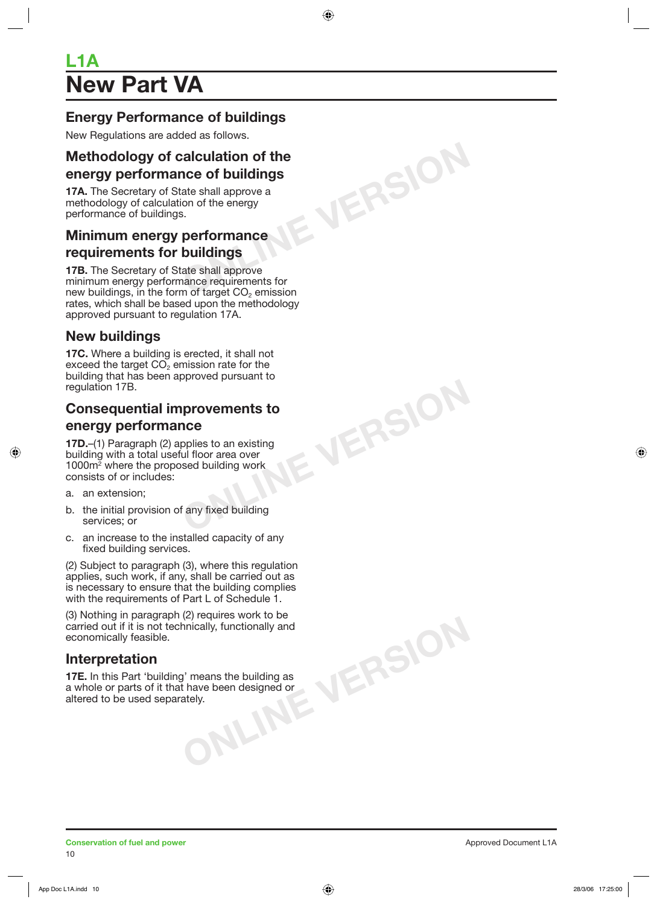## **New Part VA L1A**

### **Energy Performance of buildings**

New Regulations are added as follows.

# **ONLINE VERSION Methodology of calculation of the energy performance of buildings**

**17A.** The Secretary of State shall approve a methodology of calculation of the energy performance of buildings.

#### **Minimum energy performance requirements for buildings**

**17B.** The Secretary of State shall approve minimum energy performance requirements for new buildings, in the form of target  $CO<sub>2</sub>$  emission rates, which shall be based upon the methodology approved pursuant to regulation 17A.

#### **New buildings**

**17C.** Where a building is erected, it shall not exceed the target  $CO<sub>2</sub>$  emission rate for the building that has been approved pursuant to regulation 17B.

### **Consequential improvements to energy performance**

**ONLINE VERSION**

**17D.**–(1) Paragraph (2) applies to an existing building with a total useful floor area over 1000m2 where the proposed building work consists of or includes:

- a. an extension;
- b. the initial provision of any fixed building services; or
- c. an increase to the installed capacity of any fixed building services.

(2) Subject to paragraph (3), where this regulation applies, such work, if any, shall be carried out as is necessary to ensure that the building complies with the requirements of Part L of Schedule 1.

(3) Nothing in paragraph (2) requires work to be carried out if it is not technically, functionally and economically feasible.

#### **Interpretation**

means the building as<br>have been designed or<br>ely. **17E.** In this Part 'building' means the building as a whole or parts of it that have been designed or altered to be used separately.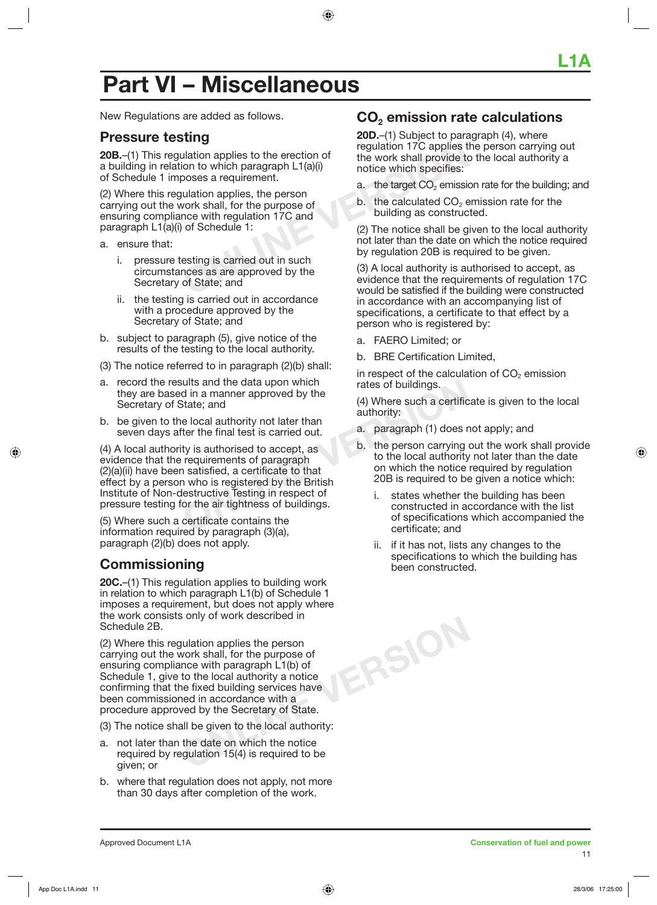## **Part VI – Miscellaneous**

New Regulations are added as follows.

#### **Pressure testing**

**20B.**–(1) This regulation applies to the erection of a building in relation to which paragraph L1(a)(i) of Schedule 1 imposes a requirement.

**CONFIDENTIFY AND THE CONFIDENTIFY SURVEY CONFIDENTIFY**<br> **CONFIDENTIFY** ABSURD TO UNITY OF THE WORK SHALL FOR SAMPLINE INTERNATION AND THE EXERCUTE:<br>
SURVIVENT AND THE EXERCUTE OF THE EXERCUTION OF SCHELM OF SCHELM OF SCHE (2) Where this regulation applies, the person carrying out the work shall, for the purpose of ensuring compliance with regulation 17C and paragraph L1(a)(i) of Schedule 1:

- a. ensure that:
	- i. pressure testing is carried out in such circumstances as are approved by the Secretary of State; and
	- ii. the testing is carried out in accordance with a procedure approved by the Secretary of State; and
- b. subject to paragraph (5), give notice of the results of the testing to the local authority.
- (3) The notice referred to in paragraph (2)(b) shall:
- a. record the results and the data upon which they are based in a manner approved by the Secretary of State; and
- b. be given to the local authority not later than seven days after the final test is carried out.

Fig. 12003<br>
State; and the data upon which that the state of buildings.<br>
State; and (4) Where such a certific<br>
e local authority not later than<br>
ter the final test is carried out.<br>
ty is authorised to accept, as<br>
requireme (4) A local authority is authorised to accept, as evidence that the requirements of paragraph (2)(a)(ii) have been satisfied, a certificate to that effect by a person who is registered by the British Institute of Non-destructive Testing in respect of pressure testing for the air tightness of buildings.

(5) Where such a certificate contains the information required by paragraph (3)(a), paragraph (2)(b) does not apply.

#### **Commissioning**

**20C.**–(1) This regulation applies to building work in relation to which paragraph L1(b) of Schedule 1 imposes a requirement, but does not apply where the work consists only of work described in Schedule 2B.

(2) Where this regulation applies the person carrying out the work shall, for the purpose of ensuring compliance with paragraph L1(b) of Schedule 1, give to the local authority a notice confirming that the fixed building services have been commissioned in accordance with a procedure approved by the Secretary of State.

(3) The notice shall be given to the local authority:

- a. not later than the date on which the notice required by regulation 15(4) is required to be given; or
- b. where that regulation does not apply, not more than 30 days after completion of the work.

#### **CO2 emission rate calculations**

**20D.**–(1) Subject to paragraph (4), where regulation 17C applies the person carrying out the work shall provide to the local authority a notice which specifies:

- a. the target  $CO<sub>2</sub>$  emission rate for the building; and
- $b$ . the calculated  $CO<sub>2</sub>$  emission rate for the building as constructed.

(2) The notice shall be given to the local authority not later than the date on which the notice required by regulation 20B is required to be given.

(3) A local authority is authorised to accept, as evidence that the requirements of regulation 17C would be satisfied if the building were constructed in accordance with an accompanying list of specifications, a certificate to that effect by a person who is registered by:

a. FAERO Limited; or

**ONLINE VERSION**

b. BRE Certification Limited,

in respect of the calculation of  $CO<sub>2</sub>$  emission rates of buildings.

(4) Where such a certificate is given to the local authority:

- a. paragraph (1) does not apply; and
- b. the person carrying out the work shall provide to the local authority not later than the date on which the notice required by regulation 20B is required to be given a notice which:
	- i. states whether the building has been constructed in accordance with the list of specifications which accompanied the certificate; and
	- ii. if it has not, lists any changes to the specifications to which the building has been constructed.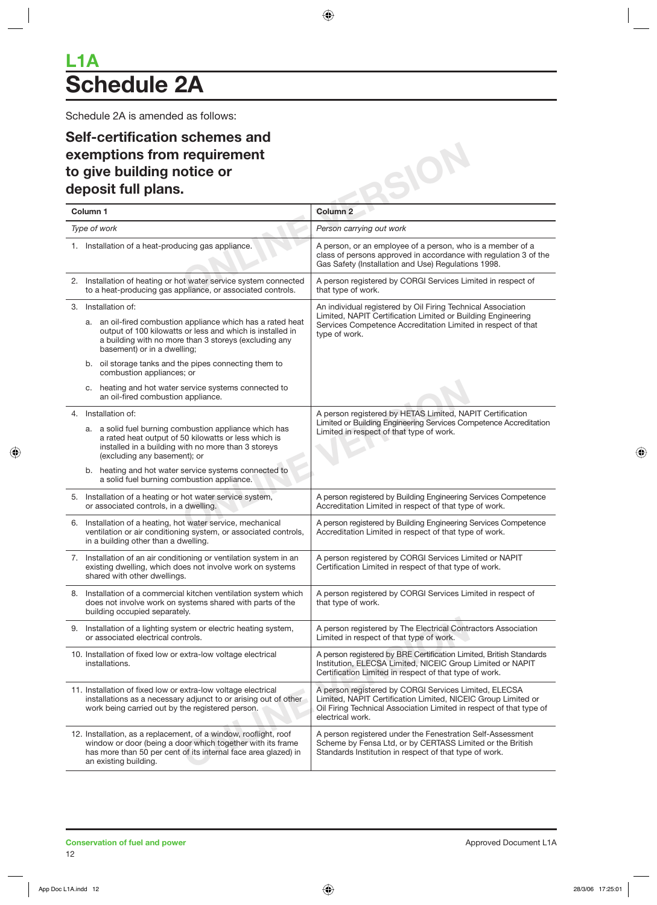## **Schedule 2A L1A**

Schedule 2A is amended as follows:

### **Self-certification schemes and exemptions from requirement to give building notice or deposit full plans.**

| Self-certification schemes and<br>exemptions from requirement<br>to give building notice or                                                                                                                                             |                                                                                                                                                                                                                   |
|-----------------------------------------------------------------------------------------------------------------------------------------------------------------------------------------------------------------------------------------|-------------------------------------------------------------------------------------------------------------------------------------------------------------------------------------------------------------------|
| deposit full plans.                                                                                                                                                                                                                     |                                                                                                                                                                                                                   |
| Column <sub>1</sub>                                                                                                                                                                                                                     | Column <sub>2</sub>                                                                                                                                                                                               |
| Type of work                                                                                                                                                                                                                            | Person carrying out work                                                                                                                                                                                          |
| 1. Installation of a heat-producing gas appliance.                                                                                                                                                                                      | A person, or an employee of a person, who is a member of a<br>class of persons approved in accordance with regulation 3 of the<br>Gas Safety (Installation and Use) Regulations 1998.                             |
| 2. Installation of heating or hot water service system connected<br>to a heat-producing gas appliance, or associated controls.                                                                                                          | A person registered by CORGI Services Limited in respect of<br>that type of work.                                                                                                                                 |
| 3. Installation of:<br>a. an oil-fired combustion appliance which has a rated heat<br>output of 100 kilowatts or less and which is installed in<br>a building with no more than 3 storeys (excluding any<br>basement) or in a dwelling; | An individual registered by Oil Firing Technical Association<br>Limited, NAPIT Certification Limited or Building Engineering<br>Services Competence Accreditation Limited in respect of that<br>type of work.     |
| b. oil storage tanks and the pipes connecting them to<br>combustion appliances; or<br>c. heating and hot water service systems connected to<br>an oil-fired combustion appliance.                                                       |                                                                                                                                                                                                                   |
| 4. Installation of:<br>a. a solid fuel burning combustion appliance which has<br>a rated heat output of 50 kilowatts or less which is<br>installed in a building with no more than 3 storeys<br>(excluding any basement); or            | A person registered by HETAS Limited, NAPIT Certification<br>Limited or Building Engineering Services Competence Accreditation<br>Limited in respect of that type of work.                                        |
| b. heating and hot water service systems connected to<br>a solid fuel burning combustion appliance.<br>5. Installation of a heating or hot water service system,                                                                        | A person registered by Building Engineering Services Competence                                                                                                                                                   |
| or associated controls, in a dwelling.<br>6. Installation of a heating, hot water service, mechanical<br>ventilation or air conditioning system, or associated controls,<br>in a building other than a dwelling.                        | Accreditation Limited in respect of that type of work.<br>A person registered by Building Engineering Services Competence<br>Accreditation Limited in respect of that type of work.                               |
| 7. Installation of an air conditioning or ventilation system in an<br>existing dwelling, which does not involve work on systems<br>shared with other dwellings.                                                                         | A person registered by CORGI Services Limited or NAPIT<br>Certification Limited in respect of that type of work.                                                                                                  |
| 8. Installation of a commercial kitchen ventilation system which<br>does not involve work on systems shared with parts of the<br>building occupied separately.                                                                          | A person registered by CORGI Services Limited in respect of<br>that type of work.                                                                                                                                 |
| 9. Installation of a lighting system or electric heating system,<br>or associated electrical controls.                                                                                                                                  | A person registered by The Electrical Contractors Association<br>Limited in respect of that type of work.                                                                                                         |
| 10. Installation of fixed low or extra-low voltage electrical<br>installations.                                                                                                                                                         | A person registered by BRE Certification Limited, British Standards<br>Institution, ELECSA Limited, NICEIC Group Limited or NAPIT<br>Certification Limited in respect of that type of work.                       |
| 11. Installation of fixed low or extra-low voltage electrical<br>installations as a necessary adjunct to or arising out of other<br>work being carried out by the registered person.                                                    | A person registered by CORGI Services Limited, ELECSA<br>Limited, NAPIT Certification Limited, NICEIC Group Limited or<br>Oil Firing Technical Association Limited in respect of that type of<br>electrical work. |
| 12. Installation, as a replacement, of a window, rooflight, roof<br>window or door (being a door which together with its frame<br>has more than 50 per cent of its internal face area glazed) in<br>an existing building.               | A person registered under the Fenestration Self-Assessment<br>Scheme by Fensa Ltd, or by CERTASS Limited or the British<br>Standards Institution in respect of that type of work.                                 |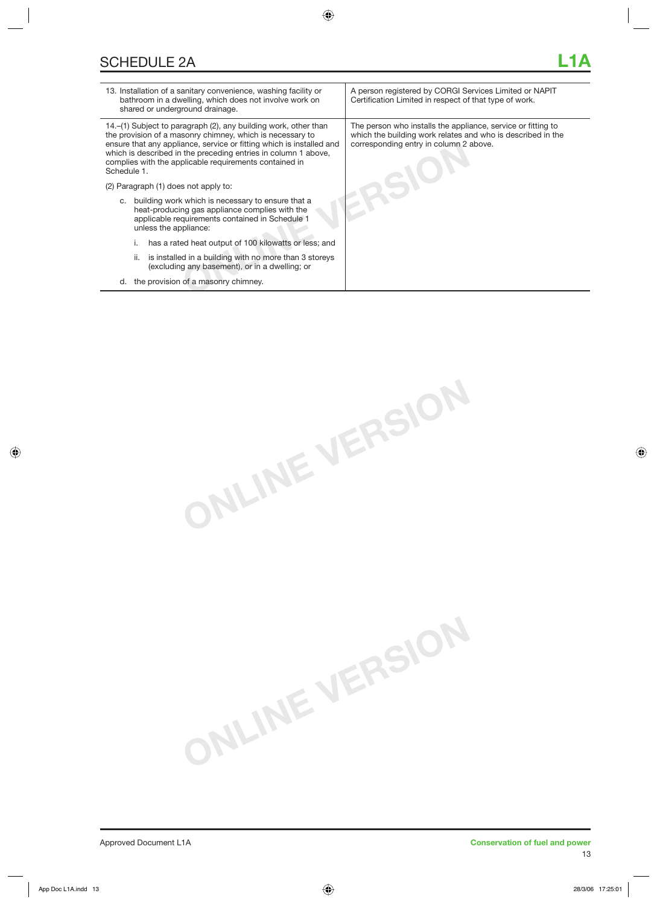| 13. Installation of a sanitary convenience, washing facility or<br>bathroom in a dwelling, which does not involve work on<br>shared or underground drainage.                                                                                                                                                                                    | A person registered by CORGI Services Limited or NAPIT<br>Certification Limited in respect of that type of work.                                                      |
|-------------------------------------------------------------------------------------------------------------------------------------------------------------------------------------------------------------------------------------------------------------------------------------------------------------------------------------------------|-----------------------------------------------------------------------------------------------------------------------------------------------------------------------|
| 14.–(1) Subject to paragraph (2), any building work, other than<br>the provision of a masonry chimney, which is necessary to<br>ensure that any appliance, service or fitting which is installed and<br>which is described in the preceding entries in column 1 above,<br>complies with the applicable requirements contained in<br>Schedule 1. | The person who installs the appliance, service or fitting to<br>which the building work relates and who is described in the<br>corresponding entry in column 2 above. |
| (2) Paragraph (1) does not apply to:                                                                                                                                                                                                                                                                                                            |                                                                                                                                                                       |
| c. building work which is necessary to ensure that a<br>heat-producing gas appliance complies with the<br>applicable requirements contained in Schedule 1<br>unless the appliance:                                                                                                                                                              |                                                                                                                                                                       |
| has a rated heat output of 100 kilowatts or less; and                                                                                                                                                                                                                                                                                           |                                                                                                                                                                       |
| is installed in a building with no more than 3 storeys<br>ii.<br>(excluding any basement), or in a dwelling; or                                                                                                                                                                                                                                 |                                                                                                                                                                       |
| the provision of a masonry chimney.<br>d.                                                                                                                                                                                                                                                                                                       |                                                                                                                                                                       |
|                                                                                                                                                                                                                                                                                                                                                 |                                                                                                                                                                       |

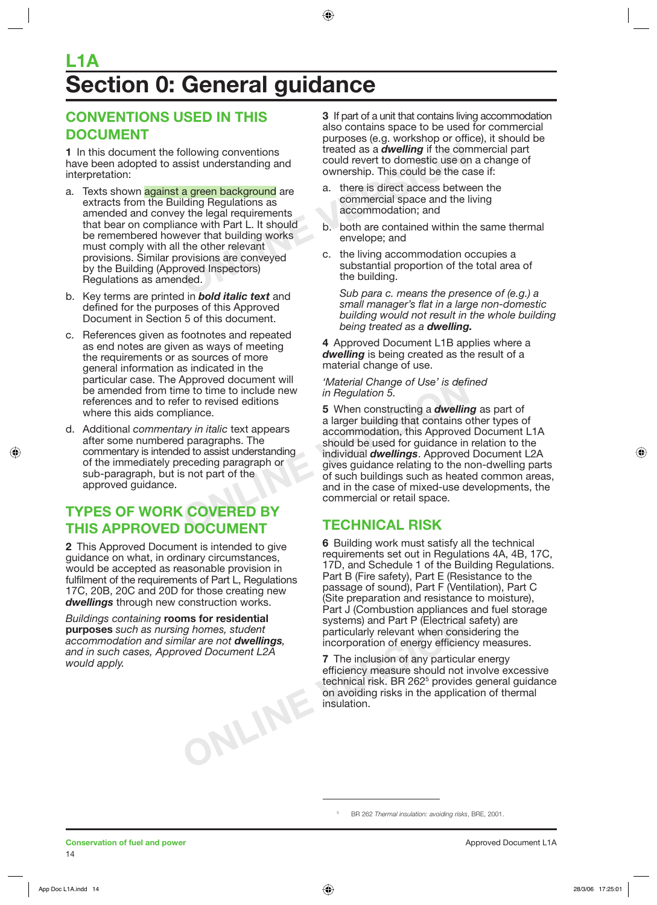## *<u>Ection 0: General guidance</u>* **L1A**

### **CONVENTIONS USED IN THIS DOCUMENT**

**1** In this document the following conventions have been adopted to assist understanding and interpretation:

- Frequency of the contained as a **dwelling** if the consist understanding and<br>
sist understanding and<br> **ONLINE THE COMMOVER COMMOVER CONTINUES ASSEMENT ONLY A CONTINUES AND MOVE CONTINUES A<br>
Mann and the legal requirements<br>** a. Texts shown against a green background are extracts from the Building Regulations as amended and convey the legal requirements that bear on compliance with Part L. It should be remembered however that building works must comply with all the other relevant provisions. Similar provisions are conveyed by the Building (Approved Inspectors) Regulations as amended.
- b. Key terms are printed in *bold italic text* and defined for the purposes of this Approved Document in Section 5 of this document.
- c. References given as footnotes and repeated as end notes are given as ways of meeting the requirements or as sources of more general information as indicated in the particular case. The Approved document will be amended from time to time to include new references and to refer to revised editions where this aids compliance.
- d. Additional *commentary in italic* text appears after some numbered paragraphs. The commentary is intended to assist understanding of the immediately preceding paragraph or sub-paragraph, but is not part of the approved guidance.

### **TYPES OF WORK COVERED BY THIS APPROVED DOCUMENT**

**2** This Approved Document is intended to give guidance on what, in ordinary circumstances, would be accepted as reasonable provision in fulfilment of the requirements of Part L, Regulations 17C, 20B, 20C and 20D for those creating new *dwellings* through new construction works.

*Buildings containing* **rooms for residential purposes** *such as nursing homes, student accommodation and similar are not dwellings, and in such cases, Approved Document L2A would apply.* 

**ONLINE VERSION**

**3** If part of a unit that contains living accommodation also contains space to be used for commercial purposes (e.g. workshop or office), it should be treated as a *dwelling* if the commercial part could revert to domestic use on a change of ownership. This could be the case if:

- a. there is direct access between the commercial space and the living accommodation; and
- b. both are contained within the same thermal envelope; and
- c. the living accommodation occupies a substantial proportion of the total area of the building.

 *Sub para c. means the presence of (e.g.) a small manager's flat in a large non-domestic building would not result in the whole building being treated as a dwelling.*

**4** Approved Document L1B applies where a *dwelling* is being created as the result of a material change of use.

*'Material Change of Use' is defined in Regulation 5.* 

Expressed document will the the to time to include new the provide to time to include new the provide of the solid of Subseting a *dwellin* a larger building that contains commodation, this Approved paragraphs. The should **5** When constructing a *dwelling* as part of a larger building that contains other types of accommodation, this Approved Document L1A should be used for guidance in relation to the individual *dwellings*. Approved Document L2A gives guidance relating to the non-dwelling parts of such buildings such as heated common areas, and in the case of mixed-use developments, the commercial or retail space.

#### **TECHNICAL RISK**

**6** Building work must satisfy all the technical requirements set out in Regulations 4A, 4B, 17C, 17D, and Schedule 1 of the Building Regulations. Part B (Fire safety), Part E (Resistance to the passage of sound), Part F (Ventilation), Part C (Site preparation and resistance to moisture), Part J (Combustion appliances and fuel storage systems) and Part P (Electrical safety) are particularly relevant when considering the incorporation of energy efficiency measures.

**7** The inclusion of any particular energy efficiency measure should not involve excessive technical risk. BR 262<sup>5</sup> provides general guidance on avoiding risks in the application of thermal insulation.

BR 262 *Thermal insulation: avoiding risks*, BRE, 2001.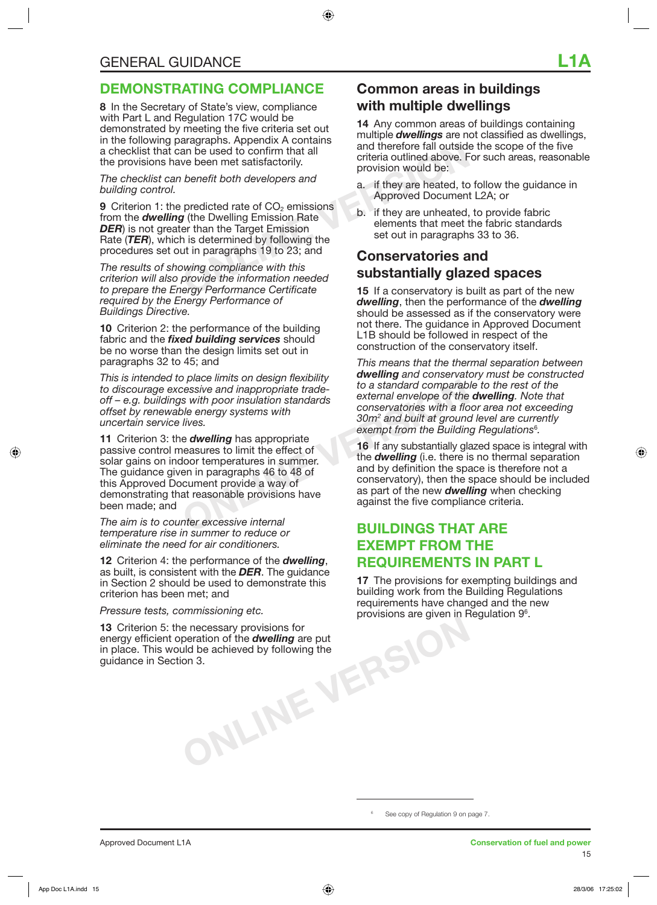**8** In the Secretary of State's view, compliance with Part L and Regulation 17C would be demonstrated by meeting the five criteria set out in the following paragraphs. Appendix A contains a checklist that can be used to confirm that all the provisions have been met satisfactorily.

*The checklist can benefit both developers and building control.* 

Example used to confirm that all<br>
and therefore fall outside<br>
ve been met satisfactorily.<br> *ONLINER* and therefore fall outside<br>
ve been met satisfactorily.<br> *ONLINER and therefore fall outside*<br> *ONLINER and therefore fal* **9** Criterion 1: the predicted rate of CO<sub>2</sub> emissions from the *dwelling* (the Dwelling Emission Rate **DER**) is not greater than the Target Emission Rate (*TER*), which is determined by following the procedures set out in paragraphs 19 to 23; and

*The results of showing compliance with this criterion will also provide the information needed to prepare the Energy Performance Certificate required by the Energy Performance of Buildings Directive.* 

**10** Criterion 2: the performance of the building fabric and the *fixed building services* should be no worse than the design limits set out in paragraphs 32 to 45; and

*This is intended to place limits on design flexibility to discourage excessive and inappropriate tradeoff – e.g. buildings with poor insulation standards offset by renewable energy systems with uncertain service lives.* 

Explore the theory of the same to a standard comparable sixth poor insulation standards<br>
one conservatories with a flower of the conservatories with a flower of the conservatories with a flower of the conservatories with a **11** Criterion 3: the *dwelling* has appropriate passive control measures to limit the effect of solar gains on indoor temperatures in summer. The guidance given in paragraphs 46 to 48 of this Approved Document provide a way of demonstrating that reasonable provisions have been made; and

*The aim is to counter excessive internal temperature rise in summer to reduce or eliminate the need for air conditioners.* 

**12** Criterion 4: the performance of the *dwelling*, as built, is consistent with the *DER*. The guidance in Section 2 should be used to demonstrate this criterion has been met; and

*Pressure tests, commissioning etc.* 

**ONLINE VERSION 13** Criterion 5: the necessary provisions for energy efficient operation of the *dwelling* are put in place. This would be achieved by following the guidance in Section 3.

### **Common areas in buildings with multiple dwellings**

**14** Any common areas of buildings containing multiple *dwellings* are not classified as dwellings, and therefore fall outside the scope of the five criteria outlined above. For such areas, reasonable provision would be:

- a. if they are heated, to follow the guidance in Approved Document L2A; or
- b. if they are unheated, to provide fabric elements that meet the fabric standards set out in paragraphs 33 to 36.

### **Conservatories and substantially glazed spaces**

**15** If a conservatory is built as part of the new *dwelling*, then the performance of the *dwelling* should be assessed as if the conservatory were not there. The guidance in Approved Document L1B should be followed in respect of the construction of the conservatory itself.

*This means that the thermal separation between dwelling and conservatory must be constructed to a standard comparable to the rest of the external envelope of the dwelling. Note that conservatories with a floor area not exceeding 30m2 and built at ground level are currently exempt from the Building Regulations*<sup>6</sup> *.* 

**16** If any substantially glazed space is integral with the *dwelling* (i.e. there is no thermal separation and by definition the space is therefore not a conservatory), then the space should be included as part of the new *dwelling* when checking against the five compliance criteria.

#### **BUILDINGS THAT ARE EXEMPT FROM THE REQUIREMENTS IN PART L**

**17** The provisions for exempting buildings and building work from the Building Regulations requirements have changed and the new provisions are given in Regulation 9<sup>6</sup>.

See copy of Regulation 9 on page 7.

6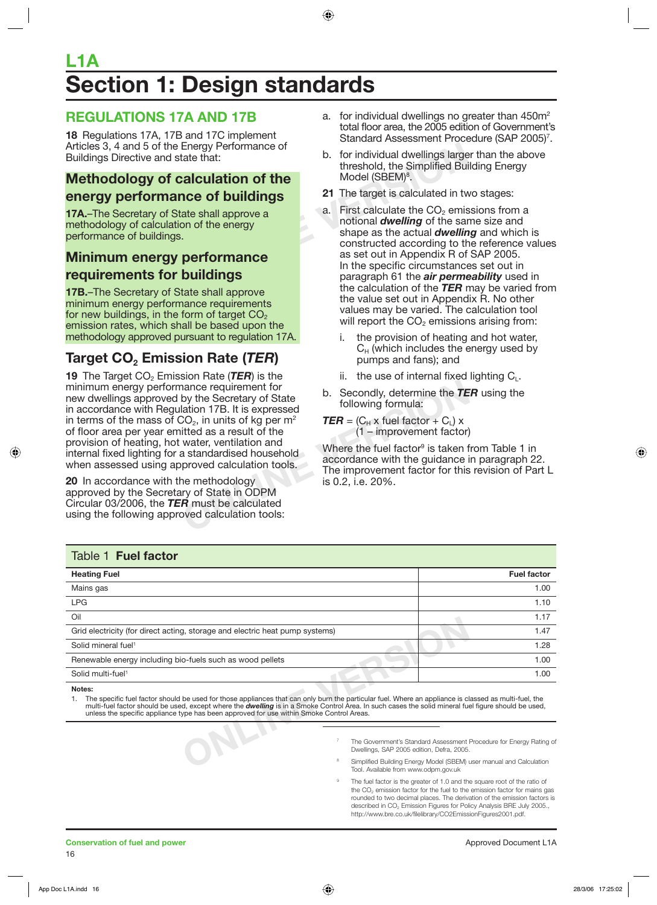## **Section 1: Design standards L1A**

#### **REGULATIONS 17A AND 17B**

**18** Regulations 17A, 17B and 17C implement Articles 3, 4 and 5 of the Energy Performance of Buildings Directive and state that:

#### **Methodology of calculation of the energy performance of buildings**

**17A.**–The Secretary of State shall approve a methodology of calculation of the energy performance of buildings.

#### **Minimum energy performance requirements for buildings**

**17B.**–The Secretary of State shall approve minimum energy performance requirements for new buildings, in the form of target  $CO<sub>2</sub>$ emission rates, which shall be based upon the methodology approved pursuant to regulation 17A.

## **Target CO<sub>2</sub> Emission Rate (***TER***)**

**Example 10** and the Secretary of State<br>
lation 17B. It is expressed<br>
lation 17B. It is expressed<br>
lation 17B. It is expressed<br>  $2Q_2$ , in units of kg per m<sup>2</sup><br>
litted as a result of the<br>
water, ventilation and<br>
a standar **19** The Target CO<sub>2</sub> Emission Rate (TER) is the minimum energy performance requirement for new dwellings approved by the Secretary of State in accordance with Regulation 17B. It is expressed in terms of the mass of  $CO<sub>2</sub>$ , in units of kg per m<sup>2</sup> of floor area per year emitted as a result of the provision of heating, hot water, ventilation and internal fixed lighting for a standardised household when assessed using approved calculation tools.

**20** In accordance with the methodology approved by the Secretary of State in ODPM Circular 03/2006, the *TER* must be calculated using the following approved calculation tools:

- a. for individual dwellings no greater than  $450m^2$ total floor area, the 2005 edition of Government's Standard Assessment Procedure (SAP 2005)<sup>7</sup>.
- b. for individual dwellings larger than the above threshold, the Simplified Building Energy Model (SBEM)<sup>8</sup>.
- **21** The target is calculated in two stages:
- Energy Performance of<br> **CECULATION OF the**<br> **CECULATION OF the**<br> **CECULATION OF the**<br> **CECULATION OF the**<br> **CECULATION OF the**<br> **CECULATION OF the**<br> **CECULATION OF the**<br> **CECULATION OF the**<br> **CECULATION OF THE COLULATION**<br> a. First calculate the  $CO<sub>2</sub>$  emissions from a notional *dwelling* of the same size and shape as the actual *dwelling* and which is constructed according to the reference values as set out in Appendix R of SAP 2005. In the specific circumstances set out in paragraph 61 the *air permeability* used in the calculation of the *TER* may be varied from the value set out in Appendix R. No other values may be varied. The calculation tool will report the  $CO<sub>2</sub>$  emissions arising from:
	- i. the provision of heating and hot water,  $C_H$  (which includes the energy used by pumps and fans); and
	- ii. the use of internal fixed lighting  $C_1$ .
	- b. Secondly, determine the *TER* using the following formula:
	- $\mathbf{TER} = (C_H \times \text{fuel factor} + C_I) \times$ (1 – improvement factor)

Where the fuel factor<sup>9</sup> is taken from Table 1 in accordance with the guidance in paragraph 22. The improvement factor for this revision of Part L is 0.2, i.e. 20%.

| Table 1 Fuel factor                                                                                                                                                                                                                                                                                                                                                                                                       |                                                                                                     |                                                                                                                                            |
|---------------------------------------------------------------------------------------------------------------------------------------------------------------------------------------------------------------------------------------------------------------------------------------------------------------------------------------------------------------------------------------------------------------------------|-----------------------------------------------------------------------------------------------------|--------------------------------------------------------------------------------------------------------------------------------------------|
| <b>Heating Fuel</b>                                                                                                                                                                                                                                                                                                                                                                                                       |                                                                                                     | <b>Fuel factor</b>                                                                                                                         |
| Mains gas                                                                                                                                                                                                                                                                                                                                                                                                                 |                                                                                                     | 1.00                                                                                                                                       |
| <b>LPG</b>                                                                                                                                                                                                                                                                                                                                                                                                                |                                                                                                     | 1.10                                                                                                                                       |
| Oil                                                                                                                                                                                                                                                                                                                                                                                                                       |                                                                                                     | 1.17                                                                                                                                       |
| Grid electricity (for direct acting, storage and electric heat pump systems)                                                                                                                                                                                                                                                                                                                                              |                                                                                                     | 1.47                                                                                                                                       |
| Solid mineral fuel <sup>1</sup>                                                                                                                                                                                                                                                                                                                                                                                           |                                                                                                     | 1.28                                                                                                                                       |
| Renewable energy including bio-fuels such as wood pellets                                                                                                                                                                                                                                                                                                                                                                 |                                                                                                     | 1.00                                                                                                                                       |
| Solid multi-fuel <sup>1</sup>                                                                                                                                                                                                                                                                                                                                                                                             |                                                                                                     | 1.00                                                                                                                                       |
| Notes:<br>The specific fuel factor should be used for those appliances that can only burn the particular fuel. Where an appliance is classed as multi-fuel, the<br>multi-fuel factor should be used, except where the <b>dwelling</b> is in a Smoke Control Area. In such cases the solid mineral fuel figure should be used,<br>unless the specific appliance type has been approved for use within Smoke Control Areas. |                                                                                                     |                                                                                                                                            |
|                                                                                                                                                                                                                                                                                                                                                                                                                           | Dwellings, SAP 2005 edition, Defra, 2005.<br>8<br>Tarah Arrattalaha Araba ricicin adalah arasin'ili | The Government's Standard Assessment Procedure for Energy Rating of<br>Simplified Building Energy Model (SBEM) user manual and Calculation |

- 7 The Government's Standard Assessment Procedure for Energy Rating of Dwellings, SAP 2005 edition, Defra, 2005.
- 8 Simplified Building Energy Model (SBEM) user manual and Calculation Tool. Available from www.odpm.gov.uk
- 9 The fuel factor is the greater of 1.0 and the square root of the ratio of the  $CO<sub>2</sub>$  emission factor for the fuel to the emission factor for mains gas rounded to two decimal places. The derivation of the emission factors is described in CO<sub>2</sub> Emission Figures for Policy Analysis BRE July 2005., http://www.bre.co.uk/filelibrary/CO2EmissionFigures2001.pdf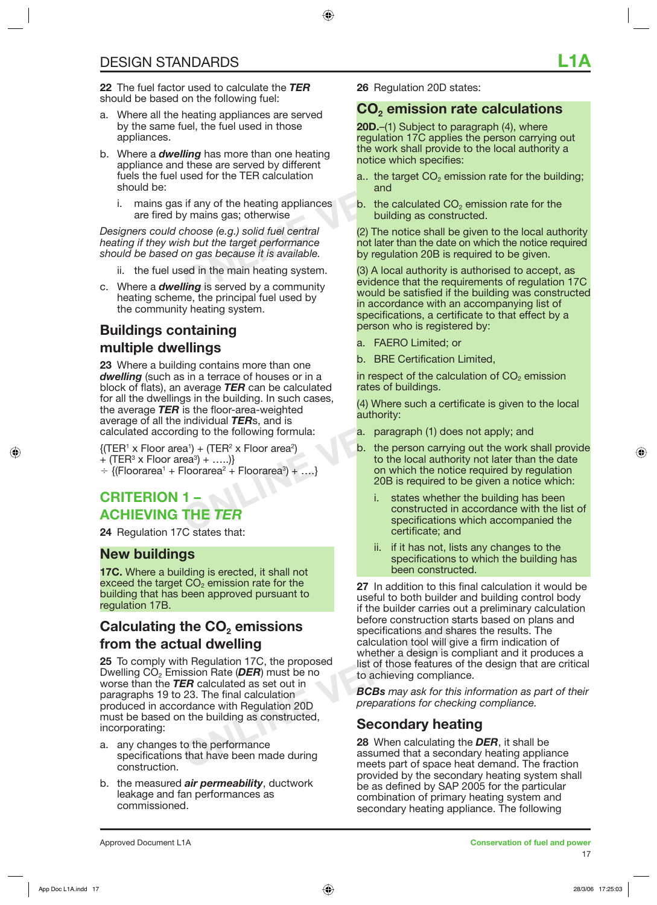**22** The fuel factor used to calculate the *TER* should be based on the following fuel:

- a. Where all the heating appliances are served by the same fuel, the fuel used in those appliances.
- **Fing** has more than one heating<br>
the work shall provide to<br>
the work shall provide to<br>
used for the TER calculation<br>
if any of the heating appliances<br>
if any of the heating appliances<br>
in the heating appliances<br>
thoose (e b. Where a *dwelling* has more than one heating appliance and these are served by different fuels the fuel used for the TER calculation should be:
	- i. mains gas if any of the heating appliances are fired by mains gas; otherwise

*Designers could choose (e.g.) solid fuel central heating if they wish but the target performance should be based on gas because it is available.*

- ii. the fuel used in the main heating system.
- c. Where a *dwelling* is served by a community heating scheme, the principal fuel used by the community heating system.

## **Buildings containing multiple dwellings**

External of a verage **TER** can be calculated rates of buildings.<br>
average **TER** can be calculated rates of buildings.<br>
is the floor-area-weighted individual **TERs**, and is<br>  $(a)$  Where such a certific<br>
individual **TERs**, an **23** Where a building contains more than one *dwelling* (such as in a terrace of houses or in a block of flats), an average *TER* can be calculated for all the dwellings in the building. In such cases, the average *TER* is the floor-area-weighted average of all the individual *TER*s, and is calculated according to the following formula:

 ${(\text{TER}^1 \times \text{Floor area}^1) + (\text{TER}^2 \times \text{Floor area}^2)}$ + (TER<sup>3</sup> x Floor area<sup>3</sup>) + .....)}

 $\div$  {(Floorarea<sup>1</sup> + Floorarea<sup>2</sup> + Floorarea<sup>3</sup>) + ....}

#### **CRITERION 1 – ACHIEVING THE** *TER*

**24** Regulation 17C states that:

#### **New buildings**

**17C.** Where a building is erected, it shall not exceed the target  $CO<sub>2</sub>$  emission rate for the building that has been approved pursuant to regulation 17B.

#### **Calculating the CO<sub>2</sub> emissions from the actual dwelling**

**Example 15 Secondary And Secure 28** When calculating the performance the performance of the performance of the performance of the performance of the performance and that have been made during the absumed that a secondary **25** To comply with Regulation 17C, the proposed Dwelling CO<sub>2</sub> Emission Rate (*DER*) must be no worse than the *TER* calculated as set out in paragraphs 19 to 23. The final calculation produced in accordance with Regulation 20D must be based on the building as constructed, incorporating:

- a. any changes to the performance specifications that have been made during construction.
- b. the measured *air permeability*, ductwork leakage and fan performances as commissioned.

**26** Regulation 20D states:

#### **CO2 emission rate calculations**

**20D.**–(1) Subject to paragraph (4), where regulation 17C applies the person carrying out the work shall provide to the local authority a notice which specifies:

- a.. the target  $CO<sub>2</sub>$  emission rate for the building; and
- b. the calculated  $CO<sub>2</sub>$  emission rate for the building as constructed.

(2) The notice shall be given to the local authority not later than the date on which the notice required by regulation 20B is required to be given.

(3) A local authority is authorised to accept, as evidence that the requirements of regulation 17C would be satisfied if the building was constructed in accordance with an accompanying list of specifications, a certificate to that effect by a person who is registered by:

- a. FAERO Limited; or
- b. BRE Certification Limited,

in respect of the calculation of  $CO<sub>2</sub>$  emission rates of buildings.

(4) Where such a certificate is given to the local authority:

- a. paragraph (1) does not apply; and
- b. the person carrying out the work shall provide to the local authority not later than the date on which the notice required by regulation 20B is required to be given a notice which:
	- i. states whether the building has been constructed in accordance with the list of specifications which accompanied the certificate; and
	- ii. if it has not, lists any changes to the specifications to which the building has been constructed.

**27** In addition to this final calculation it would be useful to both builder and building control body if the builder carries out a preliminary calculation before construction starts based on plans and specifications and shares the results. The calculation tool will give a firm indication of whether a design is compliant and it produces a list of those features of the design that are critical to achieving compliance.

*BCBs may ask for this information as part of their preparations for checking compliance.* 

### **Secondary heating**

**28** When calculating the *DER*, it shall be assumed that a secondary heating appliance meets part of space heat demand. The fraction provided by the secondary heating system shall be as defined by SAP 2005 for the particular combination of primary heating system and secondary heating appliance. The following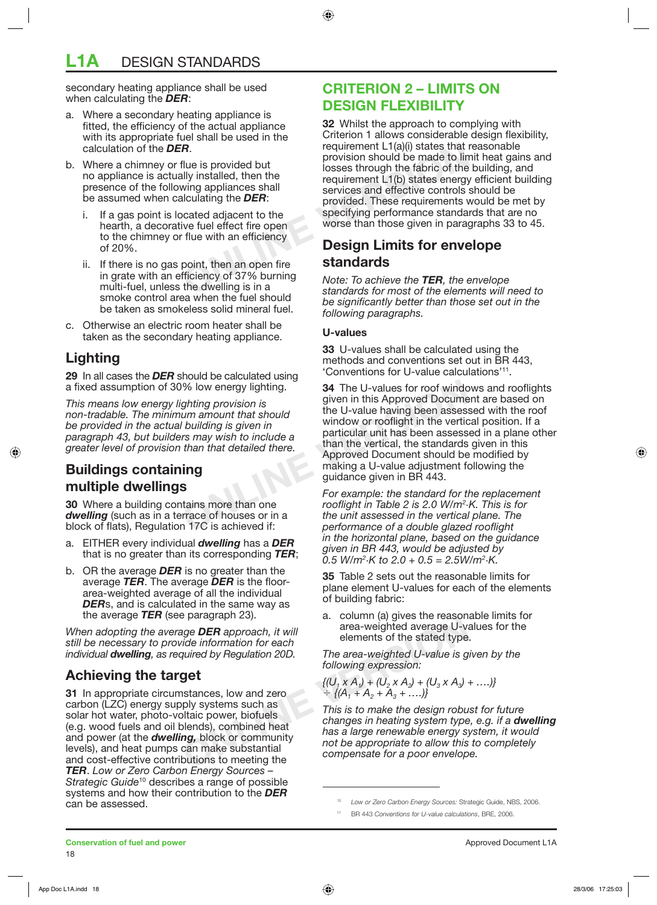## **L1A** DESIGN STANDARDS

secondary heating appliance shall be used when calculating the *DER*:

- Where a secondary heating appliance is fitted, the efficiency of the actual appliance with its appropriate fuel shall be used in the calculation of the *DER*.
- b. Where a chimney or flue is provided but no appliance is actually installed, then the presence of the following appliances shall be assumed when calculating the *DER*:
	- i. If a gas point is located adjacent to the hearth, a decorative fuel effect fire open to the chimney or flue with an efficiency of 20%.
	- ii. If there is no gas point, then an open fire in grate with an efficiency of 37% burning multi-fuel, unless the dwelling is in a smoke control area when the fuel should be taken as smokeless solid mineral fuel.
- c. Otherwise an electric room heater shall be taken as the secondary heating appliance.

### **Lighting**

**29** In all cases the *DER* should be calculated using a fixed assumption of 30% low energy lighting.

*This means low energy lighting provision is non-tradable. The minimum amount that should be provided in the actual building is given in paragraph 43, but builders may wish to include a greater level of provision than that detailed there.* 

### **Buildings containing multiple dwellings**

**30** Where a building contains more than one *dwelling* (such as in a terrace of houses or in a block of flats), Regulation 17C is achieved if:

- a. EITHER every individual *dwelling* has a *DER* that is no greater than its corresponding *TER*;
- b. OR the average *DER* is no greater than the average *TER*. The average *DER* is the floorarea-weighted average of all the individual *DER*s, and is calculated in the same way as the average *TER* (see paragraph 23).

*When adopting the average DER approach, it will still be necessary to provide information for each individual dwelling, as required by Regulation 20D.*

### **Achieving the target**

a. Column (a) yies the reason<br>
ige **DER** approach, it will<br>
ide information for each<br>
quired by Regulation 20D.<br>
The area-weighted U-value is g<br>
following expression:<br> **ONEX**<br>
stances, low and zero<br>  $\{(U_1 \times A_1) + (U_2 \times A_2$ **31** In appropriate circumstances, low and zero carbon (LZC) energy supply systems such as solar hot water, photo-voltaic power, biofuels (e.g. wood fuels and oil blends), combined heat and power (at the *dwelling,* block or community levels), and heat pumps can make substantial and cost-effective contributions to meeting the *TER*. *Low or Zero Carbon Energy Sources – Strategic Guide*10 describes a range of possible systems and how their contribution to the *DER* can be assessed.

#### **CRITERION 2 – LIMITS ON DESIGN FLEXIBILITY**

**Provided but**<br>
Filue is provided but<br>
Illy installed, then the<br>
Illy installed, then the<br>
Illugences shall<br>
Illugences shall<br>
Illugences shall<br>
Illugences shall<br>
Services and effective controls<br>
Illugences shall<br>
Services **32** Whilst the approach to complying with Criterion 1 allows considerable design flexibility, requirement L1(a)(i) states that reasonable provision should be made to limit heat gains and losses through the fabric of the building, and requirement L1(b) states energy efficient building services and effective controls should be provided. These requirements would be met by specifying performance standards that are no worse than those given in paragraphs 33 to 45.

#### **Design Limits for envelope standards**

*Note: To achieve the TER, the envelope standards for most of the elements will need to be significantly better than those set out in the following paragraphs.*

#### **U-values**

**33** U-values shall be calculated using the methods and conventions set out in BR 443, 'Conventions for U-value calculations'11.

We low energy lighting.<br>
Soluting provision is<br>
the U-values for roof window<br>
the U-value having been assessed<br>
than that should be a<br>
than that detailed there.<br> **COLUTE:**<br> **COLUTE:**<br> **COLUTE:**<br> **COLUTE:**<br> **COLUTE:**<br> **COLU 34** The U-values for roof windows and rooflights given in this Approved Document are based on the U-value having been assessed with the roof window or rooflight in the vertical position. If a particular unit has been assessed in a plane other than the vertical, the standards given in this Approved Document should be modified by making a U-value adjustment following the guidance given in BR 443.

*For example: the standard for the replacement rooflight in Table 2 is 2.0 W/m2 ·K. This is for the unit assessed in the vertical plane. The performance of a double glazed rooflight in the horizontal plane, based on the guidance given in BR 443, would be adjusted by*  0.5 *W*/m<sup>2</sup> $\cdot$ K to 2.0 + 0.5 = 2.5W/m<sup>2</sup> $\cdot$ K.

**35** Table 2 sets out the reasonable limits for plane element U-values for each of the elements of building fabric:

column (a) gives the reasonable limits for area-weighted average U-values for the elements of the stated type.

*The area-weighted U-value is given by the following expression:*

 $\{ (U_1 \times A_1) + (U_2 \times A_2) + (U_3 \times A_3) + \ldots \}$  $\div$  {(A<sub>1</sub> + A<sub>2</sub> + A<sub>3</sub> + ….)}

*This is to make the design robust for future changes in heating system type, e.g. if a dwelling has a large renewable energy system, it would not be appropriate to allow this to completely compensate for a poor envelope.* 

<sup>10</sup> *Low or Zero Carbon Energy Sources:* Strategic Guide, NBS, 2006.

<sup>11</sup> BR 443 *Conventions for U-value calculations*, BRE, 2006.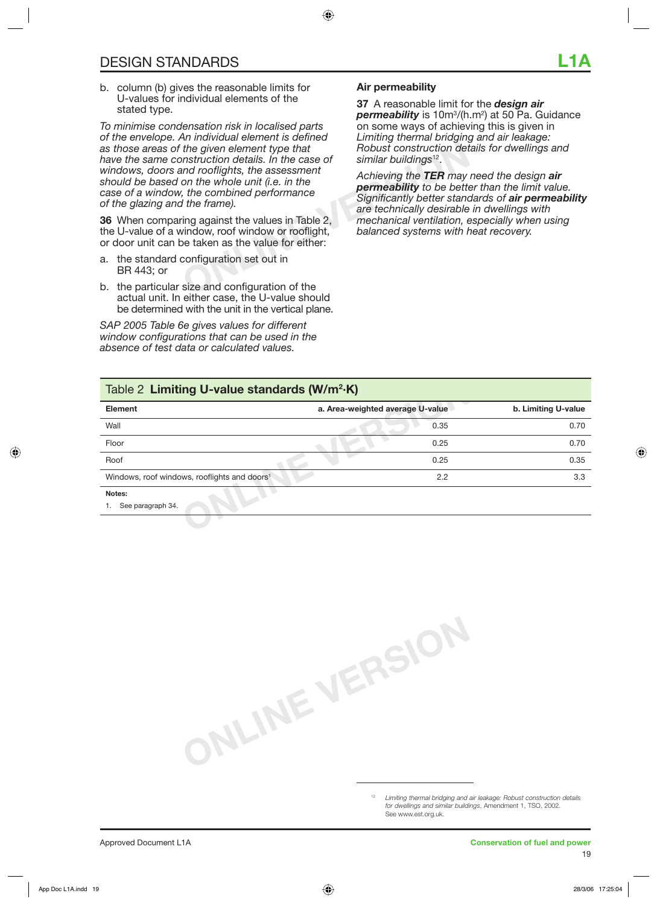b. column (b) gives the reasonable limits for U-values for individual elements of the stated type.

the given element type that<br>
Instruction details. In the case of<br>
instruction details. In the case of<br>
on the whole unit (i.e. in the<br>
interpret on the whole unit (i.e. in the<br>
interpret on the second of the transpective o *To minimise condensation risk in localised parts of the envelope. An individual element is defined as those areas of the given element type that have the same construction details. In the case of windows, doors and rooflights, the assessment should be based on the whole unit (i.e. in the case of a window, the combined performance of the glazing and the frame).* 

**36** When comparing against the values in Table 2, the U-value of a window, roof window or rooflight, or door unit can be taken as the value for either:

- a. the standard configuration set out in BR 443; or
- b. the particular size and configuration of the actual unit. In either case, the U-value should be determined with the unit in the vertical plane.

*SAP 2005 Table 6e gives values for different window configurations that can be used in the absence of test data or calculated values.* 

#### **Air permeability**

**37** A reasonable limit for the *design air permeability* is 10m3 /(h.m2 ) at 50 Pa. Guidance on some ways of achieving this is given in *Limiting thermal bridging and air leakage: Robust construction details for dwellings and similar buildings*12.

*Achieving the TER may need the design air permeability to be better than the limit value. Significantly better standards of air permeability are technically desirable in dwellings with mechanical ventilation, especially when using balanced systems with heat recovery.* 

### **online Standards (W/m<sup>2</sup>·K)<br>
a. Area-weighted average U-value<br>
0.35<br>
<b>O.25**<br> **O.25**<br> **O.25**<br> **O.25**<br> **O.25**<br> **O.25** Table 2 **Limiting U-value standards (W/m2 ·K) Element a. Area-weighted average U-value b. Limiting U-value** Wall **0.35** 0.70 Floor 0.25 0.70 Roof 0.25 0.35 Windows, roof windows, rooflights and doors<sup>1</sup> **2.2** 3.3 **Notes:**

1. See paragraph 34.

**ONLINE VERSION**

<sup>12</sup> *Limiting thermal bridging and air leakage: Robust construction details for dwellings and similar buildings*, Amendment 1, TSO, 2002. See www.est.org.uk.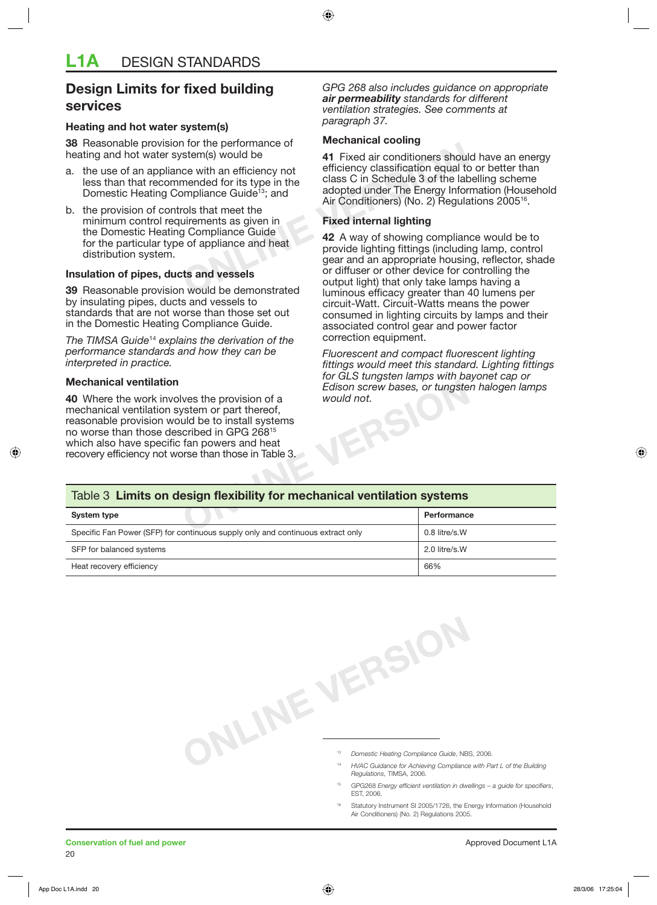#### **Design Limits for fixed building services**

#### **Heating and hot water system(s)**

**38** Reasonable provision for the performance of heating and hot water system(s) would be

- a. the use of an appliance with an efficiency not less than that recommended for its type in the Domestic Heating Compliance Guide<sup>13</sup>; and
- b. the provision of controls that meet the minimum control requirements as given in the Domestic Heating Compliance Guide for the particular type of appliance and heat distribution system.

#### **Insulation of pipes, ducts and vessels**

**39** Reasonable provision would be demonstrated by insulating pipes, ducts and vessels to standards that are not worse than those set out in the Domestic Heating Compliance Guide.

*The TIMSA Guide*<sup>14</sup> *explains the derivation of the performance standards and how they can be interpreted in practice.*

#### **Mechanical ventilation**

*GPG 268 also includes guidance on appropriate air permeability standards for different ventilation strategies. See comments at paragraph 37.* 

#### **Mechanical cooling**

**41** Fixed air conditioners should have an energy efficiency classification equal to or better than class C in Schedule 3 of the labelling scheme adopted under The Energy Information (Household Air Conditioners) (No. 2) Regulations 2005<sup>16</sup>.

#### **Fixed internal lighting**

The performance of the state of the state of the performance of the state of the class C in Schedule 3 of the labompliance Guide<sup>13</sup>; and adopted under The Energy Information and the state meet the uirements as given in Ti **42** A way of showing compliance would be to provide lighting fittings (including lamp, control gear and an appropriate housing, reflector, shade or diffuser or other device for controlling the output light) that only take lamps having a luminous efficacy greater than 40 lumens per circuit-Watt. Circuit-Watts means the power consumed in lighting circuits by lamps and their associated control gear and power factor correction equipment.

> *Fluorescent and compact fluorescent lighting fittings would meet this standard. Lighting fittings for GLS tungsten lamps with bayonet cap or Edison screw bases, or tungsten halogen lamps would not.*

#### Table 3 **Limits on design flexibility for mechanical ventilation systems**

| <b>Mechanical ventilation</b>                                                                                                                                                                                                                                                                                         | Edison screw bases, or tungsten halogen lamps<br>would not. |               |  |  |
|-----------------------------------------------------------------------------------------------------------------------------------------------------------------------------------------------------------------------------------------------------------------------------------------------------------------------|-------------------------------------------------------------|---------------|--|--|
| 40 Where the work involves the provision of a<br>mechanical ventilation system or part thereof,<br>reasonable provision would be to install systems<br>no worse than those described in GPG 268 <sup>15</sup><br>which also have specific fan powers and heat<br>recovery efficiency not worse than those in Table 3. |                                                             |               |  |  |
| Table 3 Limits on design flexibility for mechanical ventilation systems                                                                                                                                                                                                                                               |                                                             |               |  |  |
| <b>System type</b>                                                                                                                                                                                                                                                                                                    |                                                             | Performance   |  |  |
| Specific Fan Power (SFP) for continuous supply only and continuous extract only                                                                                                                                                                                                                                       |                                                             | 0.8 litre/s.W |  |  |
| SFP for balanced systems                                                                                                                                                                                                                                                                                              |                                                             | 2.0 litre/s.W |  |  |
| Heat recovery efficiency                                                                                                                                                                                                                                                                                              |                                                             | 66%           |  |  |

- <sup>13</sup> *Domestic Heating Compliance Guide*, NBS, 2006.
- **ONLINE VERSION**<br>
<sup>18</sup> Domestic Heating Compliance Guide, NB:<br>
<sup>19</sup> HAGO Guide and Regulations, TIMSA, 2006. <sup>14</sup> *HVAC Guidance for Achieving Compliance with Part L of the Building* 
	- GPG268 *Energy efficient ventilation in dwellings a guide for specifiers*, EST, 2006.
	- Statutory Instrument SI 2005/1726, the Energy Information (Household Air Conditioners) (No. 2) Regulations 2005.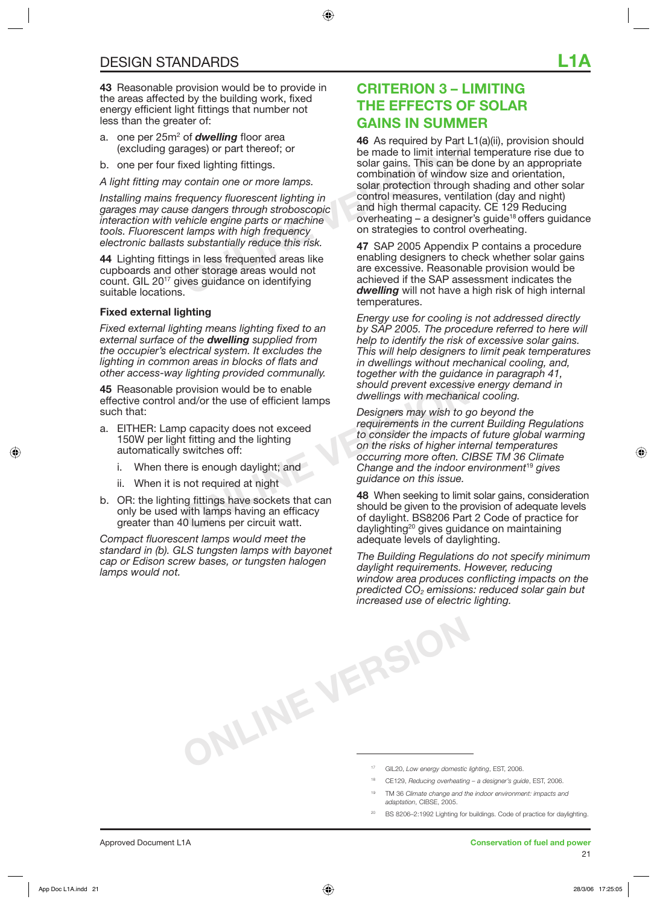**43** Reasonable provision would be to provide in the areas affected by the building work, fixed energy efficient light fittings that number not less than the greater of:

- a. one per 25m<sup>2</sup> of **dwelling** floor area (excluding garages) or part thereof; or
- b. one per four fixed lighting fittings.

*A light fitting may contain one or more lamps.*

*Installing mains frequency fluorescent lighting in garages may cause dangers through stroboscopic interaction with vehicle engine parts or machine tools. Fluorescent lamps with high frequency electronic ballasts substantially reduce this risk.* 

**44** Lighting fittings in less frequented areas like cupboards and other storage areas would not count. GIL 2017 gives guidance on identifying suitable locations.

#### **Fixed external lighting**

*Fixed external lighting means lighting fixed to an external surface of the dwelling supplied from the occupier's electrical system. It excludes the lighting in common areas in blocks of flats and other access-way lighting provided communally.*

**45** Reasonable provision would be to enable effective control and/or the use of efficient lamps such that:

- a. EITHER: Lamp capacity does not exceed 150W per light fitting and the lighting automatically switches off:
	- i. When there is enough daylight; and
	- ii. When it is not required at night
- b. OR: the lighting fittings have sockets that can only be used with lamps having an efficacy greater than 40 lumens per circuit watt.

*Compact fluorescent lamps would meet the standard in (b). GLS tungsten lamps with bayonet cap or Edison screw bases, or tungsten halogen lamps would not.* 

### **CRITERION 3 – LIMITING THE EFFECTS OF SOLAR GAINS IN SUMMER**

rages) or part thereof; or<br>
ixed lighting fittings.<br>
contain one or more lamps.<br>
contain one or more lamps.<br>
combination of window<br>
solar gains. This can be<br>
combination of window<br>
solar protection through<br>
control measure **46** As required by Part L1(a)(ii), provision should be made to limit internal temperature rise due to solar gains. This can be done by an appropriate combination of window size and orientation, solar protection through shading and other solar control measures, ventilation (day and night) and high thermal capacity. CE 129 Reducing overheating – a designer's guide18 offers guidance on strategies to control overheating.

**47** SAP 2005 Appendix P contains a procedure enabling designers to check whether solar gains are excessive. Reasonable provision would be achieved if the SAP assessment indicates the *dwelling* will not have a high risk of high internal temperatures.

*Energy use for cooling is not addressed directly by SAP 2005. The procedure referred to here will help to identify the risk of excessive solar gains. This will help designers to limit peak temperatures in dwellings without mechanical cooling, and, together with the guidance in paragraph 41, should prevent excessive energy demand in dwellings with mechanical cooling.* 

Frovision would be to enable<br>
and/or the use of efficient lamps<br>
p capacity does not exceed<br>
t fitting and the lighting<br>
switches off:<br>
e is enough daylight; and<br>
not required at night<br>
not required at night<br>
to consider t *Designers may wish to go beyond the requirements in the current Building Regulations to consider the impacts of future global warming on the risks of higher internal temperatures occurring more often. CIBSE TM 36 Climate Change and the indoor environment*<sup>19</sup> *gives guidance on this issue.* 

**48** When seeking to limit solar gains, consideration should be given to the provision of adequate levels of daylight. BS8206 Part 2 Code of practice for daylighting<sup>20</sup> gives guidance on maintaining adequate levels of daylighting.

**ONLINE VERSION** *The Building Regulations do not specify minimum daylight requirements. However, reducing window area produces conflicting impacts on the predicted CO2 emissions: reduced solar gain but increased use of electric lighting.* 

- 17 GIL20, *Low energy domestic lighting*, EST, 2006.
- 18 CE129, *Reducing overheating a designer's guide*, EST, 2006.
- 19 TM 36 *Climate change and the indoor environment: impacts and adaptation*, CIBSE, 2005.
- BS 8206-2:1992 Lighting for buildings. Code of practice for daylighting.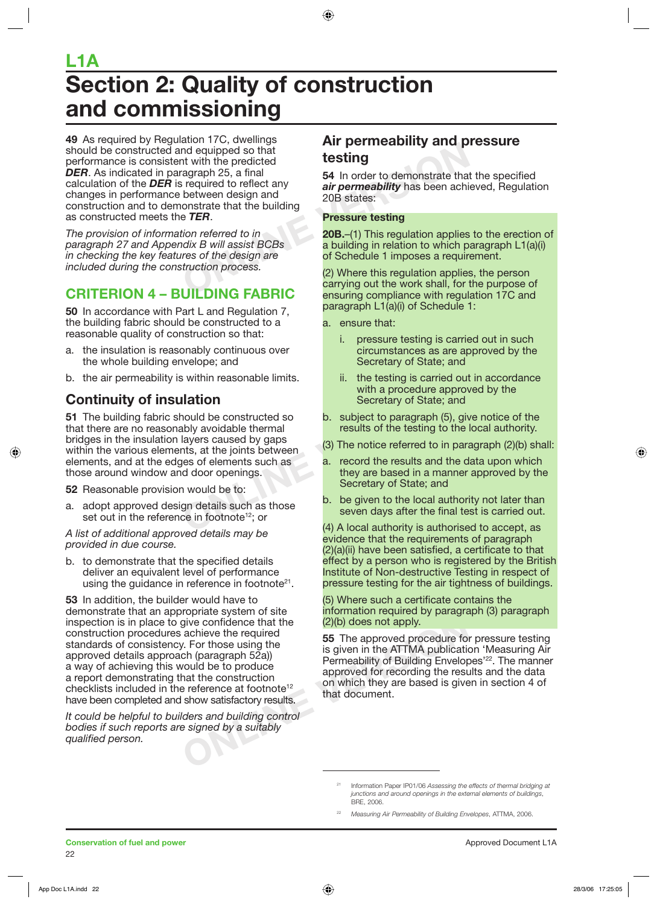## **Section 2: Quality of construction and commissioning L1A**

and equipped so that<br>
the predicted<br>
agraph 25, a final<br>
is required to reflect any<br>
between design and<br>
onstrate that the building<br> **OR states:**<br> **OR States:**<br> **Pressure testing<br>
ETER.<br>
Pressure testing<br>
tion referred to 49** As required by Regulation 17C, dwellings should be constructed and equipped so that performance is consistent with the predicted *DER*. As indicated in paragraph 25, a final calculation of the *DER* is required to reflect any changes in performance between design and construction and to demonstrate that the building as constructed meets the *TER*.

*The provision of information referred to in paragraph 27 and Appendix B will assist BCBs in checking the key features of the design are included during the construction process.* 

## **CRITERION 4 – BUILDING FABRIC**

**50** In accordance with Part L and Regulation 7, the building fabric should be constructed to a reasonable quality of construction so that:

- a. the insulation is reasonably continuous over the whole building envelope; and
- b. the air permeability is within reasonable limits.

### **Continuity of insulation**

**CONFIDENTIFICES**<br> **ONLIGENDINGENT CONFIDENTIFICATION**<br> **ONLIGENT CONFIDENT** Secretary of State; and<br>
Nould be constructed so<br>
b. subject to paragraph (5), given<br>
layers caused by gaps<br>
(3) The notice referred to in para<br> **51** The building fabric should be constructed so that there are no reasonably avoidable thermal bridges in the insulation layers caused by gaps within the various elements, at the joints between elements, and at the edges of elements such as those around window and door openings.

**52** Reasonable provision would be to:

a. adopt approved design details such as those set out in the reference in footnote<sup>12</sup>; or

*A list of additional approved details may be provided in due course.* 

b. to demonstrate that the specified details deliver an equivalent level of performance using the guidance in reference in footnote<sup>21</sup>.

give confidence that the **(2)(b) does not apply.**<br>
achieve the required<br> *V*. For those using the ch (paragraph 52a) is given in the ATTMA publication<br>
by is given in the ATTMA publication<br>
by is given in the ATTMA publica **53** In addition, the builder would have to demonstrate that an appropriate system of site inspection is in place to give confidence that the construction procedures achieve the required standards of consistency. For those using the approved details approach (paragraph 52a)) a way of achieving this would be to produce a report demonstrating that the construction checklists included in the reference at footnote<sup>12</sup> have been completed and show satisfactory results.

*It could be helpful to builders and building control bodies if such reports are signed by a suitably qualified person.* 

### **Air permeability and pressure testing**

**54** In order to demonstrate that the specified *air permeability* has been achieved, Regulation 20B states:

#### **Pressure testing**

**20B.**–(1) This regulation applies to the erection of a building in relation to which paragraph L1(a)(i) of Schedule 1 imposes a requirement.

(2) Where this regulation applies, the person carrying out the work shall, for the purpose of ensuring compliance with regulation 17C and paragraph L1(a)(i) of Schedule 1:

a. ensure that:

- i. pressure testing is carried out in such circumstances as are approved by the Secretary of State; and
- ii. the testing is carried out in accordance with a procedure approved by the Secretary of State; and
- b. subject to paragraph (5), give notice of the results of the testing to the local authority.
- (3) The notice referred to in paragraph (2)(b) shall:
- a. record the results and the data upon which they are based in a manner approved by the Secretary of State; and
- b. be given to the local authority not later than seven days after the final test is carried out.

(4) A local authority is authorised to accept, as evidence that the requirements of paragraph (2)(a)(ii) have been satisfied, a certificate to that effect by a person who is registered by the British Institute of Non-destructive Testing in respect of pressure testing for the air tightness of buildings.

(5) Where such a certificate contains the information required by paragraph (3) paragraph (2)(b) does not apply.

**55** The approved procedure for pressure testing is given in the ATTMA publication 'Measuring Air Permeability of Building Envelopes<sup>'22</sup>. The manner approved for recording the results and the data on which they are based is given in section 4 of that document.

<sup>21</sup> Information Paper IP01/06 *Assessing the effects of thermal bridging at junctions and around openings in the external elements of buildings*, BRE, 2006.

<sup>22</sup> *Measuring Air Permeability of Building Envelopes*, ATTMA, 2006.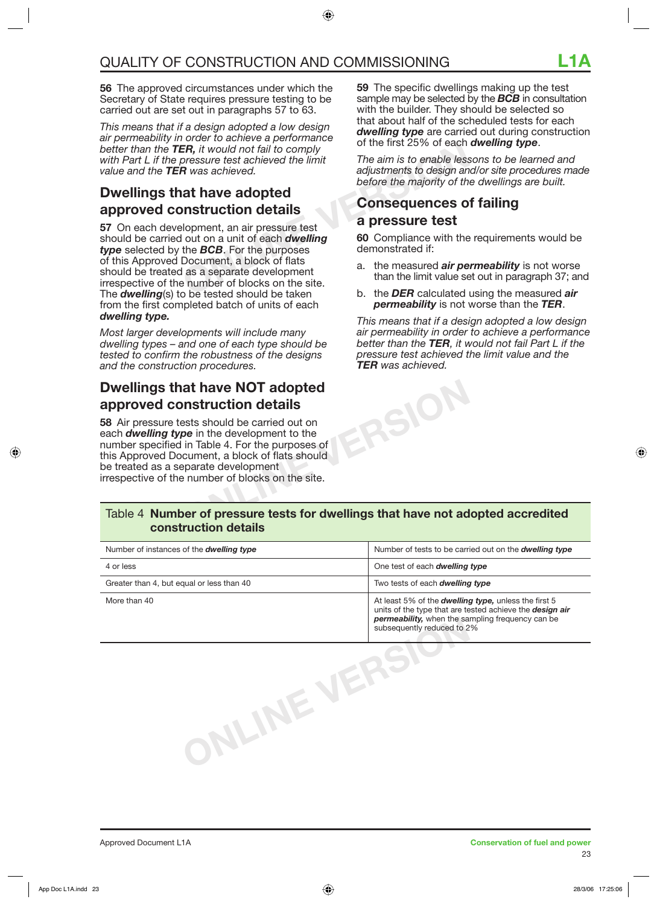**56** The approved circumstances under which the Secretary of State requires pressure testing to be carried out are set out in paragraphs 57 to 63.

*This means that if a design adopted a low design air permeability in order to achieve a performance better than the TER, it would not fail to comply with Part L if the pressure test achieved the limit value and the TER was achieved.*

### **Dwellings that have adopted approved construction details**

**ER,** it would not fail to comply<br>
or the first  $25\%$  of each<br> **Processure test achieved the limit**<br> **CONSEQUENCES**<br> **R** was achieved.<br> **A have adopted**<br> **CONSEQUENCES ONSEQUENCES ON<br>
Subpormet, an air pressure test<br>
out 57** On each development, an air pressure test should be carried out on a unit of each *dwelling type* selected by the *BCB*. For the purposes of this Approved Document, a block of flats should be treated as a separate development irrespective of the number of blocks on the site. The *dwelling*(s) to be tested should be taken from the first completed batch of units of each *dwelling type.*

*Most larger developments will include many dwelling types – and one of each type should be tested to confirm the robustness of the designs and the construction procedures.* 

### **Dwellings that have NOT adopted approved construction details**

**58** Air pressure tests should be carried out on each *dwelling type* in the development to the number specified in Table 4. For the purposes of this Approved Document, a block of flats should be treated as a separate development irrespective of the number of blocks on the site.

**59** The specific dwellings making up the test sample may be selected by the *BCB* in consultation with the builder. They should be selected so that about half of the scheduled tests for each *dwelling type* are carried out during construction of the first 25% of each *dwelling type*.

*The aim is to enable lessons to be learned and adjustments to design and/or site procedures made before the majority of the dwellings are built.* 

#### **Consequences of failing a pressure test**

**60** Compliance with the requirements would be demonstrated if:

- a. the measured *air permeability* is not worse than the limit value set out in paragraph 37; and
- b. the *DER* calculated using the measured *air permeability* is not worse than the *TER*.

**ONLINE VERSION** *This means that if a design adopted a low design air permeability in order to achieve a performance better than the TER, it would not fail Part L if the pressure test achieved the limit value and the TER was achieved.*

#### Table 4 **Number of pressure tests for dwellings that have not adopted accredited construction details**

| Number of instances of the <b>dwelling type</b> | Number of tests to be carried out on the dwelling type                                                                                                                                                     |  |
|-------------------------------------------------|------------------------------------------------------------------------------------------------------------------------------------------------------------------------------------------------------------|--|
| 4 or less                                       | One test of each dwelling type                                                                                                                                                                             |  |
| Greater than 4, but equal or less than 40       | Two tests of each <i>dwelling type</i>                                                                                                                                                                     |  |
| More than 40                                    | At least 5% of the <b>dwelling type</b> , unless the first 5<br>units of the type that are tested achieve the design air<br>permeability, when the sampling frequency can be<br>subsequently reduced to 2% |  |
|                                                 |                                                                                                                                                                                                            |  |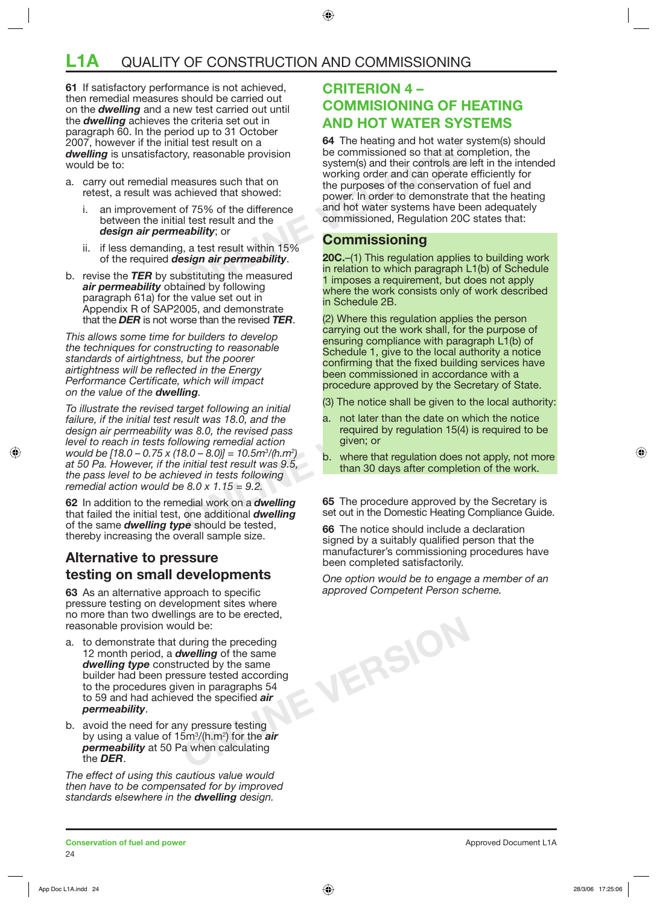## **L1A** QUALITY OF CONSTRUCTION AND COMMISSIONING

**61** If satisfactory performance is not achieved, then remedial measures should be carried out on the *dwelling* and a new test carried out until the *dwelling* achieves the criteria set out in paragraph 60. In the period up to 31 October 2007, however if the initial test result on a *dwelling* is unsatisfactory, reasonable provision would be to:

- a. carry out remedial measures such that on retest, a result was achieved that showed:
	- i. an improvement of 75% of the difference between the initial test result and the *design air permeability*; or
	- ii. if less demanding, a test result within 15% of the required *design air permeability*.
- b. revise the *TER* by substituting the measured *air permeability* obtained by following paragraph 61a) for the value set out in Appendix R of SAP2005, and demonstrate that the *DER* is not worse than the revised *TER*.

*This allows some time for builders to develop the techniques for constructing to reasonable standards of airtightness, but the poorer airtightness will be reflected in the Energy Performance Certificate, which will impact on the value of the dwelling.* 

which will impact<br> **Solution** in initial and the set of the Secure approved by the Security<br>
Suit was 18.0, and the a. not later than the date on w<br>
required by regulation 15(4)<br>
owing remedial action given; or<br>  $(8.0 - 8.$ *To illustrate the revised target following an initial failure, if the initial test result was 18.0, and the design air permeability was 8.0, the revised pass level to reach in tests following remedial action would be [18.0 – 0.75 x (18.0 – 8.0)] = 10.5m3 /(h.m2 ) at 50 Pa. However, if the initial test result was 9.5, the pass level to be achieved in tests following remedial action would be 8.0 x 1.15 = 9.2.* 

**62** In addition to the remedial work on a *dwelling* that failed the initial test, one additional *dwelling* of the same *dwelling type* should be tested, thereby increasing the overall sample size.

#### **Alternative to pressure testing on small developments**

**63** As an alternative approach to specific pressure testing on development sites where no more than two dwellings are to be erected, reasonable provision would be:

- a. to demonstrate that during the preceding 12 month period, a *dwelling* of the same *dwelling type* constructed by the same builder had been pressure tested according to the procedures given in paragraphs 54 to 59 and had achieved the specified *air permeability*.
- b. avoid the need for any pressure testing by using a value of 15m3 /(h.m2 ) for the *air permeability* at 50 Pa when calculating the *DER*.

*The effect of using this cautious value would then have to be compensated for by improved standards elsewhere in the dwelling design.* 

#### **CRITERION 4 – COMMISIONING OF HEATING AND HOT WATER SYSTEMS**

Example the test result on a<br>
or the heating and not water<br>
the commissioned so that at conservation<br>
chieved that showed:<br>
on the purposes of the conservation<br>
of 75% of the difference<br>
and hot water systems have be<br>
abil **64** The heating and hot water system(s) should be commissioned so that at completion, the system(s) and their controls are left in the intended working order and can operate efficiently for the purposes of the conservation of fuel and power. In order to demonstrate that the heating and hot water systems have been adequately commissioned, Regulation 20C states that:

#### **Commissioning**

**20C.**–(1) This regulation applies to building work in relation to which paragraph L1(b) of Schedule 1 imposes a requirement, but does not apply where the work consists only of work described in Schedule 2B.

(2) Where this regulation applies the person carrying out the work shall, for the purpose of ensuring compliance with paragraph L1(b) of Schedule 1, give to the local authority a notice confirming that the fixed building services have been commissioned in accordance with a procedure approved by the Secretary of State.

- (3) The notice shall be given to the local authority:
- a. not later than the date on which the notice required by regulation 15(4) is required to be given; or
- b. where that regulation does not apply, not more than 30 days after completion of the work.

**65** The procedure approved by the Secretary is set out in the Domestic Heating Compliance Guide.

**66** The notice should include a declaration signed by a suitably qualified person that the manufacturer's commissioning procedures have been completed satisfactorily.

*One option would be to engage a member of an approved Competent Person scheme.* 

**ONLINE VERSION**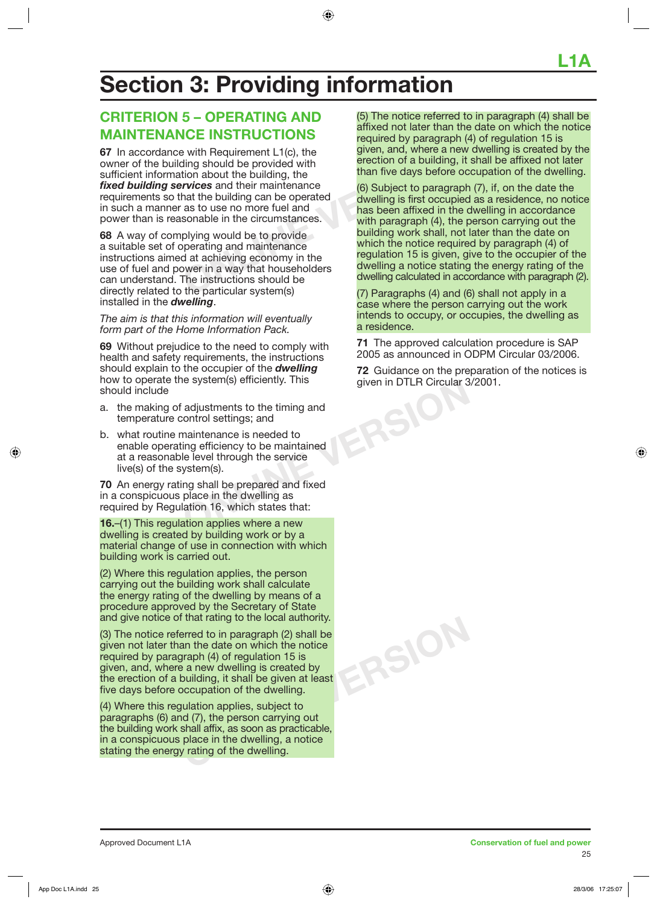## **Section 3: Providing information**

### **CRITERION 5 – OPERATING AND MAINTENANCE INSTRUCTIONS**

France in Requirement L1(c), the given, and, where a new ding should be provided with<br>
tion about the building, the the simulating of a building, it<br>
than five days before ocentrices and their maintenance<br>
than five days b **67** In accordance with Requirement L1(c), the owner of the building should be provided with sufficient information about the building, the *fixed building services* and their maintenance requirements so that the building can be operated in such a manner as to use no more fuel and power than is reasonable in the circumstances.

**68** A way of complying would be to provide a suitable set of operating and maintenance instructions aimed at achieving economy in the use of fuel and power in a way that householders can understand. The instructions should be directly related to the particular system(s) installed in the *dwelling*.

*The aim is that this information will eventually form part of the Home Information Pack.* 

**69** Without prejudice to the need to comply with health and safety requirements, the instructions should explain to the occupier of the *dwelling* how to operate the system(s) efficiently. This should include

- a. the making of adjustments to the timing and temperature control settings; and
- b. what routine maintenance is needed to enable operating efficiency to be maintained at a reasonable level through the service live(s) of the system(s).

**70** An energy rating shall be prepared and fixed in a conspicuous place in the dwelling as required by Regulation 16, which states that:

**16.**–(1) This regulation applies where a new dwelling is created by building work or by a material change of use in connection with which building work is carried out.

(2) Where this regulation applies, the person carrying out the building work shall calculate the energy rating of the dwelling by means of a procedure approved by the Secretary of State and give notice of that rating to the local authority.

(3) The notice referred to in paragraph (2) shall be given not later than the date on which the notice required by paragraph (4) of regulation 15 is given, and, where a new dwelling is created by the erection of a building, it shall be given at least five days before occupation of the dwelling.

(4) Where this regulation applies, subject to paragraphs (6) and (7), the person carrying out the building work shall affix, as soon as practicable, in a conspicuous place in the dwelling, a notice stating the energy rating of the dwelling.

(5) The notice referred to in paragraph (4) shall be affixed not later than the date on which the notice required by paragraph (4) of regulation 15 is given, and, where a new dwelling is created by the erection of a building, it shall be affixed not later than five days before occupation of the dwelling.

(6) Subject to paragraph (7), if, on the date the dwelling is first occupied as a residence, no notice has been affixed in the dwelling in accordance with paragraph (4), the person carrying out the building work shall, not later than the date on which the notice required by paragraph (4) of regulation 15 is given, give to the occupier of the dwelling a notice stating the energy rating of the dwelling calculated in accordance with paragraph (2).

(7) Paragraphs (4) and (6) shall not apply in a case where the person carrying out the work intends to occupy, or occupies, the dwelling as a residence.

**71** The approved calculation procedure is SAP 2005 as announced in ODPM Circular 03/2006.

**72** Guidance on the preparation of the notices is given in DTLR Circular 3/2001.

ERSI<sup>C</sup>

**ONLINE VERSION**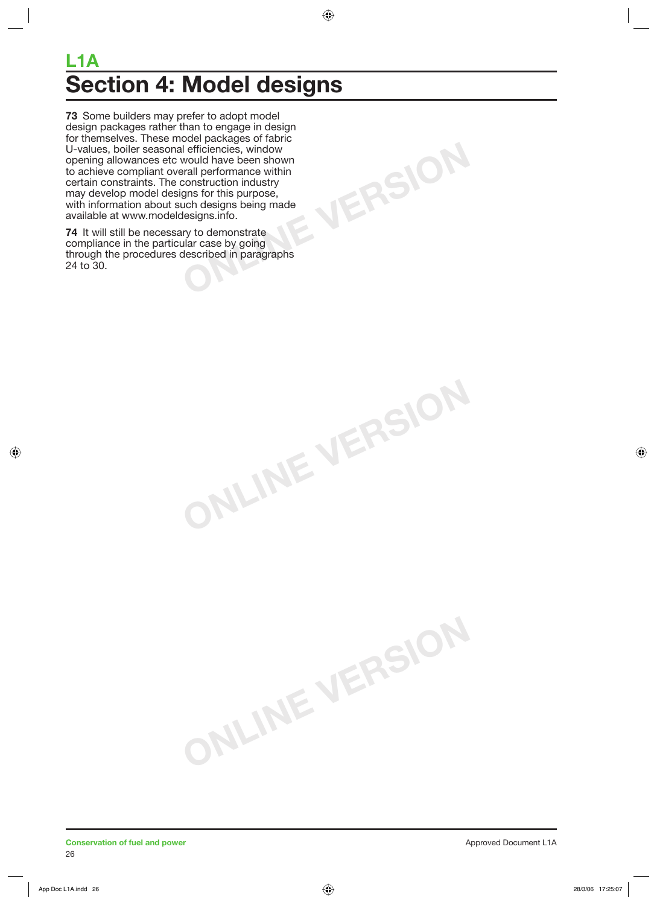## **L1A Section 4: Model designs**

**ONLINE VERSION**

**ONLINE VERSION**

**ONLINE VERSION**

**73** Some builders may prefer to adopt model design packages rather than to engage in design for themselves. These model packages of fabric U-values, boiler seasonal efficiencies, window opening allowances etc would have been shown to achieve compliant overall performance within certain constraints. The construction industry may develop model designs for this purpose, with information about such designs being made available at www.modeldesigns.info.

**74** It will still be necessary to demonstrate compliance in the particular case by going through the procedures described in paragraphs 24 to 30.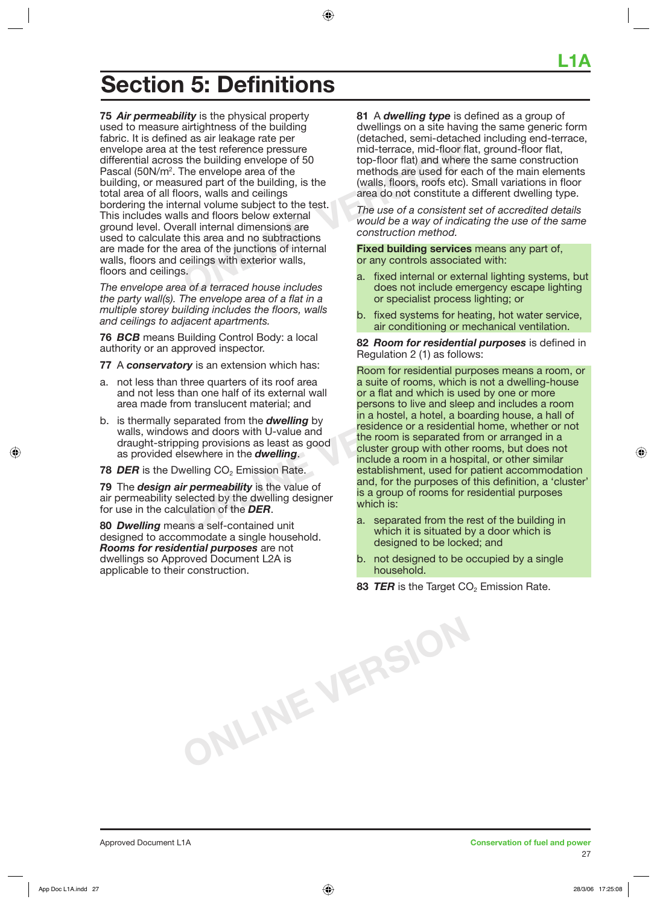the test reference pressure<br>
Solution state is the building envelope of 50<br>
The envelope area of the<br>
ured part of the building, is the<br>
oors, walls and ceilings<br>
sernal volume subject to the test.<br>
Is and floors below ext **75** *Air permeability* is the physical property used to measure airtightness of the building fabric. It is defined as air leakage rate per envelope area at the test reference pressure differential across the building envelope of 50 Pascal (50N/m<sup>2</sup>. The envelope area of the building, or measured part of the building, is the total area of all floors, walls and ceilings bordering the internal volume subject to the test. This includes walls and floors below external ground level. Overall internal dimensions are used to calculate this area and no subtractions are made for the area of the junctions of internal walls, floors and ceilings with exterior walls, floors and ceilings.

**Section 5: Definitions** 

*The envelope area of a terraced house includes the party wall(s). The envelope area of a flat in a multiple storey building includes the floors, walls and ceilings to adjacent apartments.* 

**76** *BCB* means Building Control Body: a local authority or an approved inspector.

**77** A *conservatory* is an extension which has:

- a. not less than three quarters of its roof area and not less than one half of its external wall area made from translucent material; and
- b. is thermally separated from the *dwelling* by walls, windows and doors with U-value and draught-stripping provisions as least as good as provided elsewhere in the *dwelling*.
- **78 DER** is the Dwelling CO<sub>2</sub> Emission Rate.

**79** The *design air permeability* is the value of air permeability selected by the dwelling designer for use in the calculation of the *DER*.

**80** *Dwelling* means a self-contained unit designed to accommodate a single household. *Rooms for residential purposes* are not dwellings so Approved Document L2A is applicable to their construction.

**ONLINE VERSION**

**81** A *dwelling type* is defined as a group of dwellings on a site having the same generic form (detached, semi-detached including end-terrace, mid-terrace, mid-floor flat, ground-floor flat, top-floor flat) and where the same construction methods are used for each of the main elements (walls, floors, roofs etc). Small variations in floor area do not constitute a different dwelling type.

*The use of a consistent set of accredited details would be a way of indicating the use of the same construction method.*

**Fixed building services** means any part of, or any controls associated with:

- a. fixed internal or external lighting systems, but does not include emergency escape lighting or specialist process lighting; or
- b. fixed systems for heating, hot water service, air conditioning or mechanical ventilation.

**82** *Room for residential purposes* is defined in Regulation 2 (1) as follows:

three quarters of its root area<br>
han one half of its external wall<br>
or a flat and which is use<br>
parated from the *dwelling* by<br>
sand doors with U-value and<br>
bing provisions as least as good<br>
same in the *dwelling*.<br>
S Room for residential purposes means a room, or a suite of rooms, which is not a dwelling-house or a flat and which is used by one or more persons to live and sleep and includes a room in a hostel, a hotel, a boarding house, a hall of residence or a residential home, whether or not the room is separated from or arranged in a cluster group with other rooms, but does not include a room in a hospital, or other similar establishment, used for patient accommodation and, for the purposes of this definition, a 'cluster' is a group of rooms for residential purposes which is:

- a. separated from the rest of the building in which it is situated by a door which is designed to be locked; and
- b. not designed to be occupied by a single household.
- **83** *TER* is the Target CO<sub>2</sub> Emission Rate.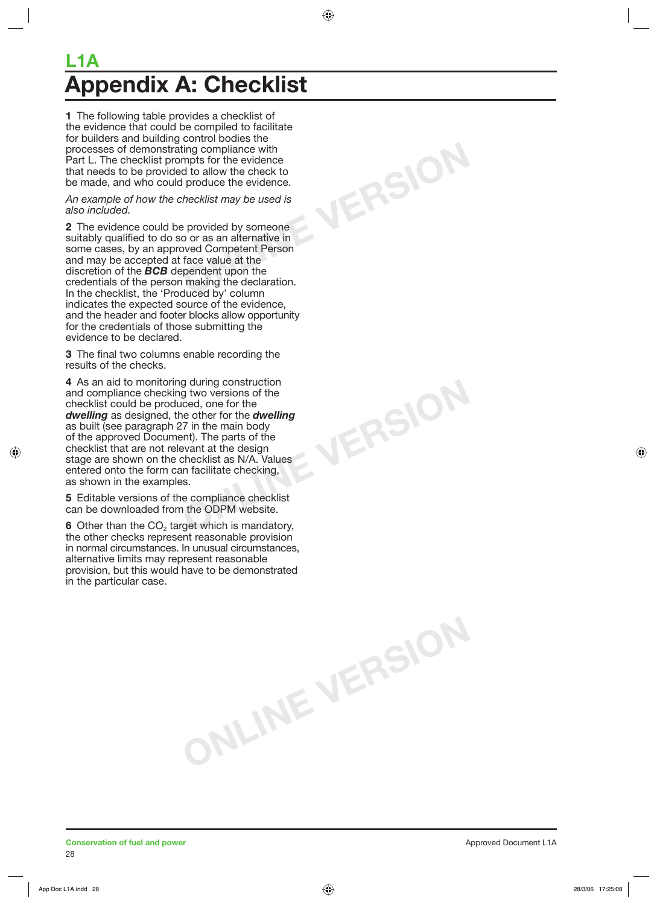## **L1A ppendix A: Checklist**

**1** The following table provides a checklist of the evidence that could be compiled to facilitate for builders and building control bodies the processes of demonstrating compliance with Part L. The checklist prompts for the evidence that needs to be provided to allow the check to be made, and who could produce the evidence.

#### *An example of how the checklist may be used is also included.*

**ONLINE VERSION**

**ONLINE VERSION**

**ONLINE VERSION**

**2** The evidence could be provided by someone suitably qualified to do so or as an alternative in some cases, by an approved Competent Person and may be accepted at face value at the discretion of the *BCB* dependent upon the credentials of the person making the declaration. In the checklist, the 'Produced by' column indicates the expected source of the evidence, and the header and footer blocks allow opportunity for the credentials of those submitting the evidence to be declared.

**3** The final two columns enable recording the results of the checks.

**4** As an aid to monitoring during construction and compliance checking two versions of the checklist could be produced, one for the *dwelling* as designed, the other for the *dwelling* as built (see paragraph 27 in the main body of the approved Document). The parts of the checklist that are not relevant at the design stage are shown on the checklist as N/A. Values entered onto the form can facilitate checking, as shown in the examples.

**5** Editable versions of the compliance checklist can be downloaded from the ODPM website.

**6** Other than the CO<sub>2</sub> target which is mandatory, the other checks represent reasonable provision in normal circumstances. In unusual circumstances, alternative limits may represent reasonable provision, but this would have to be demonstrated in the particular case.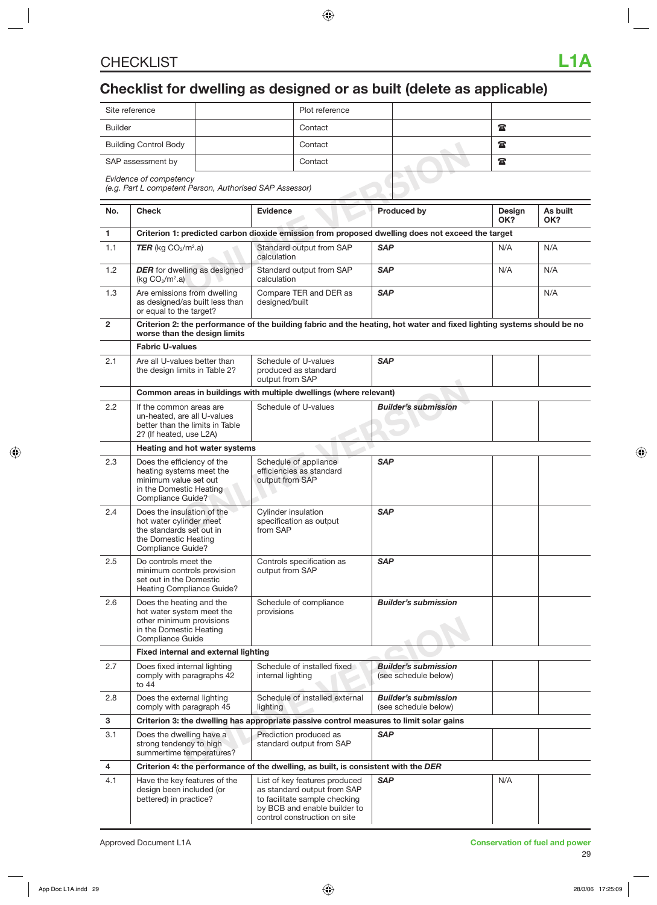## **Checklist for dwelling as designed or as built (delete as applicable)**

| Site reference               | Plot reference |        |              |
|------------------------------|----------------|--------|--------------|
| <b>Builder</b>               | Contact        |        | $\mathbf{r}$ |
| <b>Building Control Body</b> | Contact        |        | $\mathbf{r}$ |
| SAP assessment by            | Contact        | ______ | $\mathbf{r}$ |

|                | Building Control Body<br>Contact                                                                                                                                         |                                                                                                                                              |                                         | t                                                                                                                                                             |                             |                                                                                                                        |               |                 |
|----------------|--------------------------------------------------------------------------------------------------------------------------------------------------------------------------|----------------------------------------------------------------------------------------------------------------------------------------------|-----------------------------------------|---------------------------------------------------------------------------------------------------------------------------------------------------------------|-----------------------------|------------------------------------------------------------------------------------------------------------------------|---------------|-----------------|
|                | SAP assessment by<br>Contact                                                                                                                                             |                                                                                                                                              |                                         |                                                                                                                                                               | $\mathbf{r}$                |                                                                                                                        |               |                 |
|                | Evidence of competency<br>(e.g. Part L competent Person, Authorised SAP Assessor)                                                                                        |                                                                                                                                              |                                         |                                                                                                                                                               |                             |                                                                                                                        |               |                 |
| No.            | <b>Check</b>                                                                                                                                                             |                                                                                                                                              | <b>Evidence</b>                         |                                                                                                                                                               |                             | <b>Produced by</b>                                                                                                     | Design<br>OK? | As built<br>OK? |
| $\mathbf{1}$   |                                                                                                                                                                          | Criterion 1: predicted carbon dioxide emission from proposed dwelling does not exceed the target                                             |                                         |                                                                                                                                                               |                             |                                                                                                                        |               |                 |
| 1.1            | <b>TER</b> (kg $CO2/m2$ .a)                                                                                                                                              |                                                                                                                                              | Standard output from SAP<br>calculation |                                                                                                                                                               | <b>SAP</b>                  |                                                                                                                        | N/A           | N/A             |
| 1.2            | <b>DER</b> for dwelling as designed<br>(kg $CO2/m2$ .a)                                                                                                                  |                                                                                                                                              | calculation                             | Standard output from SAP                                                                                                                                      | <b>SAP</b>                  |                                                                                                                        | N/A           | N/A             |
| 1.3            | Are emissions from dwelling<br>as designed/as built less than<br>or equal to the target?                                                                                 |                                                                                                                                              | designed/built                          | Compare TER and DER as                                                                                                                                        | <b>SAP</b>                  |                                                                                                                        |               | N/A             |
| $\overline{2}$ | worse than the design limits                                                                                                                                             |                                                                                                                                              |                                         |                                                                                                                                                               |                             | Criterion 2: the performance of the building fabric and the heating, hot water and fixed lighting systems should be no |               |                 |
|                | <b>Fabric U-values</b>                                                                                                                                                   |                                                                                                                                              |                                         |                                                                                                                                                               |                             |                                                                                                                        |               |                 |
| 2.1            | Are all U-values better than<br>the design limits in Table 2?                                                                                                            |                                                                                                                                              | output from SAP                         | Schedule of U-values<br>produced as standard                                                                                                                  | <b>SAP</b>                  |                                                                                                                        |               |                 |
|                |                                                                                                                                                                          |                                                                                                                                              |                                         | Common areas in buildings with multiple dwellings (where relevant)                                                                                            |                             |                                                                                                                        |               |                 |
| 2.2            |                                                                                                                                                                          | Schedule of U-values<br>If the common areas are<br>un-heated, are all U-values<br>better than the limits in Table<br>2? (If heated, use L2A) |                                         |                                                                                                                                                               | <b>Builder's submission</b> |                                                                                                                        |               |                 |
|                | Heating and hot water systems                                                                                                                                            |                                                                                                                                              |                                         |                                                                                                                                                               |                             |                                                                                                                        |               |                 |
| 2.3            | Does the efficiency of the<br>heating systems meet the<br>minimum value set out<br>in the Domestic Heating<br>Compliance Guide?                                          |                                                                                                                                              | output from SAP                         | Schedule of appliance<br>efficiencies as standard                                                                                                             | <b>SAP</b>                  |                                                                                                                        |               |                 |
| 2.4            | Does the insulation of the<br>hot water cylinder meet<br>the standards set out in<br>the Domestic Heating<br>Compliance Guide?                                           |                                                                                                                                              | <b>Cylinder insulation</b><br>from SAP  | specification as output                                                                                                                                       | <b>SAP</b>                  |                                                                                                                        |               |                 |
| 2.5            | Do controls meet the<br>minimum controls provision<br>set out in the Domestic<br>Heating Compliance Guide?                                                               |                                                                                                                                              | output from SAP                         | Controls specification as                                                                                                                                     | <b>SAP</b>                  |                                                                                                                        |               |                 |
| 2.6            | Does the heating and the<br>Schedule of compliance<br>hot water system meet the<br>provisions<br>other minimum provisions<br>in the Domestic Heating<br>Compliance Guide |                                                                                                                                              |                                         | <b>Builder's submission</b>                                                                                                                                   |                             |                                                                                                                        |               |                 |
|                | Fixed internal and external lighting                                                                                                                                     |                                                                                                                                              |                                         |                                                                                                                                                               |                             |                                                                                                                        |               |                 |
| 2.7            | Does fixed internal lighting<br>comply with paragraphs 42<br>to 44                                                                                                       |                                                                                                                                              | internal lighting                       | Schedule of installed fixed                                                                                                                                   |                             | <b>Builder's submission</b><br>(see schedule below)                                                                    |               |                 |
| 2.8            | Does the external lighting<br>comply with paragraph 45                                                                                                                   |                                                                                                                                              | lighting                                | Schedule of installed external                                                                                                                                |                             | <b>Builder's submission</b><br>(see schedule below)                                                                    |               |                 |
| 3              |                                                                                                                                                                          |                                                                                                                                              |                                         |                                                                                                                                                               |                             | Criterion 3: the dwelling has appropriate passive control measures to limit solar gains                                |               |                 |
| 3.1            | Does the dwelling have a<br>strong tendency to high<br>summertime temperatures?                                                                                          |                                                                                                                                              |                                         | Prediction produced as<br>standard output from SAP                                                                                                            | <b>SAP</b>                  |                                                                                                                        |               |                 |
| 4              |                                                                                                                                                                          |                                                                                                                                              |                                         | Criterion 4: the performance of the dwelling, as built, is consistent with the DER                                                                            |                             |                                                                                                                        |               |                 |
| 4.1            | Have the key features of the<br>design been included (or<br>bettered) in practice?                                                                                       |                                                                                                                                              |                                         | List of key features produced<br>as standard output from SAP<br>to facilitate sample checking<br>by BCB and enable builder to<br>control construction on site | <b>SAP</b>                  |                                                                                                                        | N/A           |                 |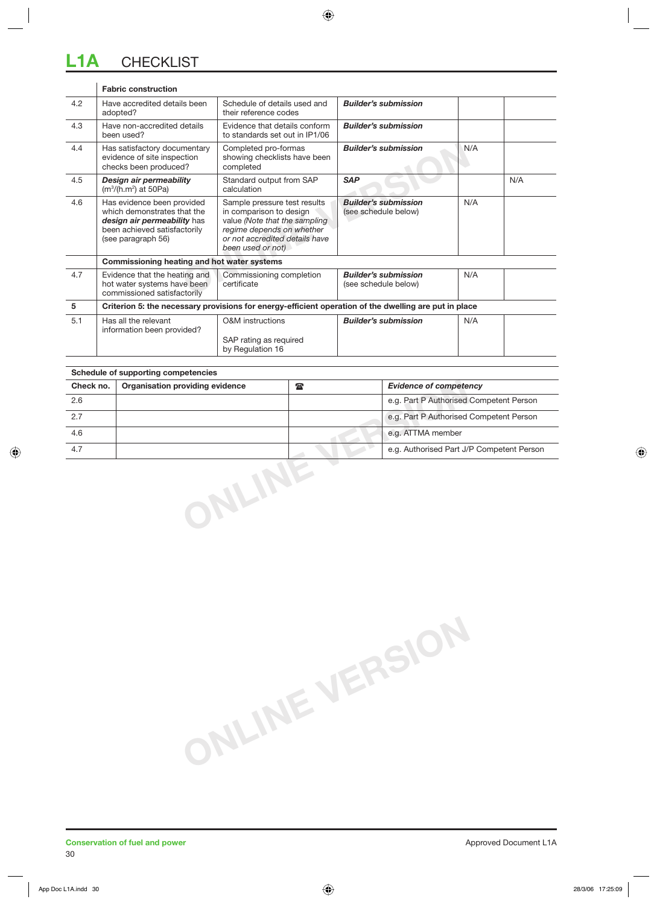#### mentary<br>
Completed pro-formas<br>
Showing checklists have been<br>
Only the calculation<br>
Calculation<br>
ovided<br>
Sample pressure test results<br>
in comparison to design<br> **CONCITY**<br>
Travel are the sampling<br>
(see schedule below)<br>
Figur **Fabric construction** 4.2 Have accredited details been adopted? Schedule of details used and their reference codes *Builder's submission* 4.3 Have non-accredited details been used? Evidence that details conform to standards set out in IP1/06 *Builder's submission* 4.4 Has satisfactory documentary evidence of site inspection checks been produced? Completed pro-formas showing checklists have been completed **Builder's submission** N/A 4.5 *Design air permeability* (m3 /(h.m2 ) at 50Pa) Standard output from SAP calculation **SAP** N/A 4.6 Has evidence been provided which demonstrates that the *design air permeability* has been achieved satisfactorily (see paragraph 56) Sample pressure test results in comparison to design value *(Note that the sampling regime depends on whether or not accredited details have been used or not) Builder's submission*  (see schedule below) N/A **Commissioning heating and hot water systems** 4.7 | Evidence that the heating and hot water systems have been commissioned satisfactorily Commissioning completion certificate *Builder's submission*  (see schedule below) N/A **5 Criterion 5: the necessary provisions for energy-efficient operation of the dwelling are put in place** 5.1 Has all the relevant information been provided? O&M instructions SAP rating as required by Regulation 16 **Builder's submission** N/A

| Check no. | Organisation providing evidence | $\frac{1}{2}$ | <b>Evidence of competency</b>             |
|-----------|---------------------------------|---------------|-------------------------------------------|
| 2.6       |                                 |               | e.g. Part P Authorised Competent Person   |
| 2.7       |                                 |               | e.g. Part P Authorised Competent Person   |
| 4.6       |                                 |               | e.g. ATTMA member                         |
| 4.7       |                                 |               | e.g. Authorised Part J/P Competent Person |
|           |                                 |               |                                           |

**ONLINE VERSION**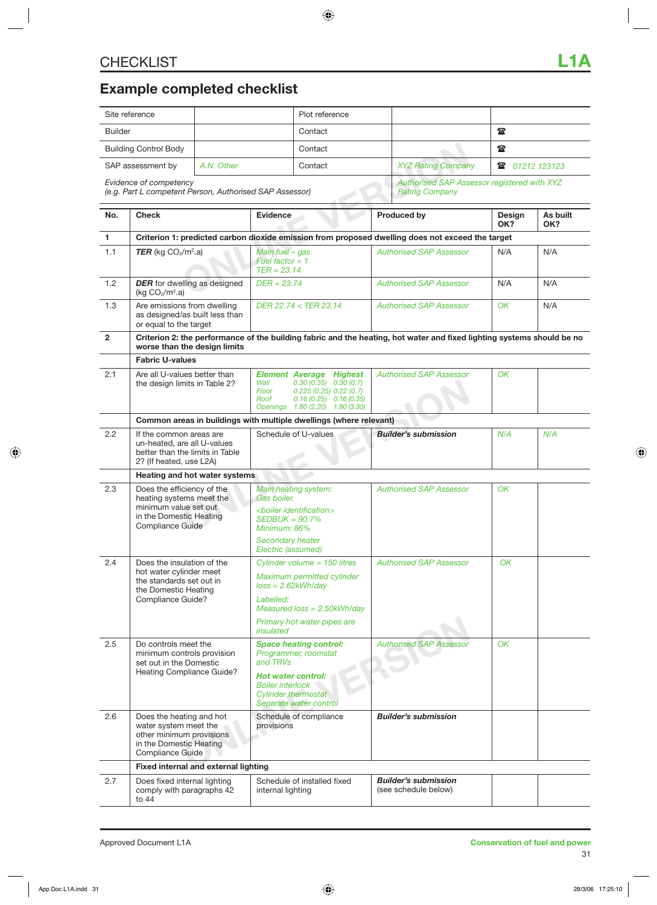## **Example completed checklist**

|                | Site reference                                                                                                                 |         | Plot reference                                                                                                                                                                         |              |                                                                      |               |                 |  |
|----------------|--------------------------------------------------------------------------------------------------------------------------------|---------|----------------------------------------------------------------------------------------------------------------------------------------------------------------------------------------|--------------|----------------------------------------------------------------------|---------------|-----------------|--|
| <b>Builder</b> |                                                                                                                                | Contact |                                                                                                                                                                                        |              | $\mathbf{r}$                                                         |               |                 |  |
|                | <b>Building Control Body</b>                                                                                                   |         | Contact                                                                                                                                                                                | $\mathbf{r}$ |                                                                      |               |                 |  |
|                | SAP assessment by<br>A.N. Other                                                                                                |         | Contact                                                                                                                                                                                |              | <b>XYZ Rating Company</b><br>$\mathbf{r}$                            |               | 01212 123123    |  |
|                | Evidence of competency<br>(e.g. Part L competent Person, Authorised SAP Assessor)                                              |         |                                                                                                                                                                                        |              | Authorised SAP Assessor registered with XYZ<br><b>Rating Company</b> |               |                 |  |
| No.            | <b>Check</b>                                                                                                                   |         | <b>Evidence</b>                                                                                                                                                                        |              | <b>Produced by</b>                                                   | Design<br>OK? | As built<br>OK? |  |
| 1.             |                                                                                                                                |         | Criterion 1: predicted carbon dioxide emission from proposed dwelling does not exceed the target                                                                                       |              |                                                                      |               |                 |  |
| 1.1            | <b>TER</b> (kg $CO2/m2$ .a)                                                                                                    |         | Main fuel - gas<br>Fuel factor = $1$<br>$TER = 23.14$                                                                                                                                  |              | <b>Authorised SAP Assessor</b>                                       | N/A           | N/A             |  |
| 1.2            | <b>DER</b> for dwelling as designed<br>(kg $CO2/m2.a$ )                                                                        |         | $DER = 23.74$                                                                                                                                                                          |              | <b>Authorised SAP Assessor</b>                                       | N/A           | N/A             |  |
| 1.3            | Are emissions from dwelling<br>as designed/as built less than<br>or equal to the target                                        |         | DER 22.74 < TER 23.14                                                                                                                                                                  |              | <b>Authorised SAP Assessor</b>                                       | OK            | N/A             |  |
| $\overline{2}$ | worse than the design limits                                                                                                   |         | Criterion 2: the performance of the building fabric and the heating, hot water and fixed lighting systems should be no                                                                 |              |                                                                      |               |                 |  |
|                | <b>Fabric U-values</b>                                                                                                         |         |                                                                                                                                                                                        |              |                                                                      |               |                 |  |
| 2.1            | Are all U-values better than<br>the design limits in Table 2?                                                                  |         | <b>Element Average</b><br><b>Highest</b><br>$0.30(0.35)$ $0.30(0.7)$<br>Wall<br>Floor<br>0.225(0.25)0.22(0.7)<br>Roof<br>$0.16(0.25)$ $0.16(0.35)$<br>Openings 1.80 (2.20) 1.80 (3.30) |              | <b>Authorised SAP Assessor</b>                                       | OK            |                 |  |
|                |                                                                                                                                |         | Common areas in buildings with multiple dwellings (where relevant)                                                                                                                     |              |                                                                      |               |                 |  |
| 2.2            | If the common areas are<br>un-heated, are all U-values<br>better than the limits in Table<br>2? (If heated, use L2A)           |         | Schedule of U-values                                                                                                                                                                   |              | <b>Builder's submission</b>                                          | N/A           | N/A             |  |
|                | Heating and hot water systems                                                                                                  |         |                                                                                                                                                                                        |              |                                                                      |               |                 |  |
| 2.3            | Does the efficiency of the<br>heating systems meet the<br>minimum value set out<br>in the Domestic Heating<br>Compliance Guide |         | Main heating system:<br>Gas boiler.<br><boiler identification=""><br/><math>SEDBUK = 90.7\%</math><br/>Minimum: 86%<br/>Secondary heater<br/>Electric (assumed)</boiler>               |              | <b>Authorised SAP Assessor</b>                                       | OK            |                 |  |
| 2.4            | Does the insulation of the<br>hot water cylinder meet<br>the standards set out in<br>the Domestic Heating<br>Compliance Guide? |         | Cylinder volume $= 150$ litres<br>Maximum permitted cylinder<br>$loss = 2.62kWh/day$<br>Labelled:<br>Measured $loss = 2.50kWh/day$<br>Primary hot water pipes are<br>insulated         |              | <b>Authorised SAP Assessor</b>                                       | OK            |                 |  |
| 2.5            | Do controls meet the<br>minimum controls provision<br>set out in the Domestic<br>Heating Compliance Guide?                     |         | <b>Space heating control:</b><br>Programmer, roomstat<br>and TRVs<br>Hot water control:<br><b>Boiler interlock</b><br><b>Cylinder thermostat</b><br>Separate water control             |              | <b>Authorised SAP Assessor</b>                                       | OK            |                 |  |
| 2.6            | Does the heating and hot<br>water system meet the<br>other minimum provisions<br>in the Domestic Heating<br>Compliance Guide   |         | Schedule of compliance<br>provisions                                                                                                                                                   |              | <b>Builder's submission</b>                                          |               |                 |  |
|                | <b>Fixed internal and external lighting</b>                                                                                    |         |                                                                                                                                                                                        |              |                                                                      |               |                 |  |
| 2.7            | Does fixed internal lighting<br>comply with paragraphs 42<br>to 44                                                             |         | Schedule of installed fixed<br>internal lighting                                                                                                                                       |              | <b>Builder's submission</b><br>(see schedule below)                  |               |                 |  |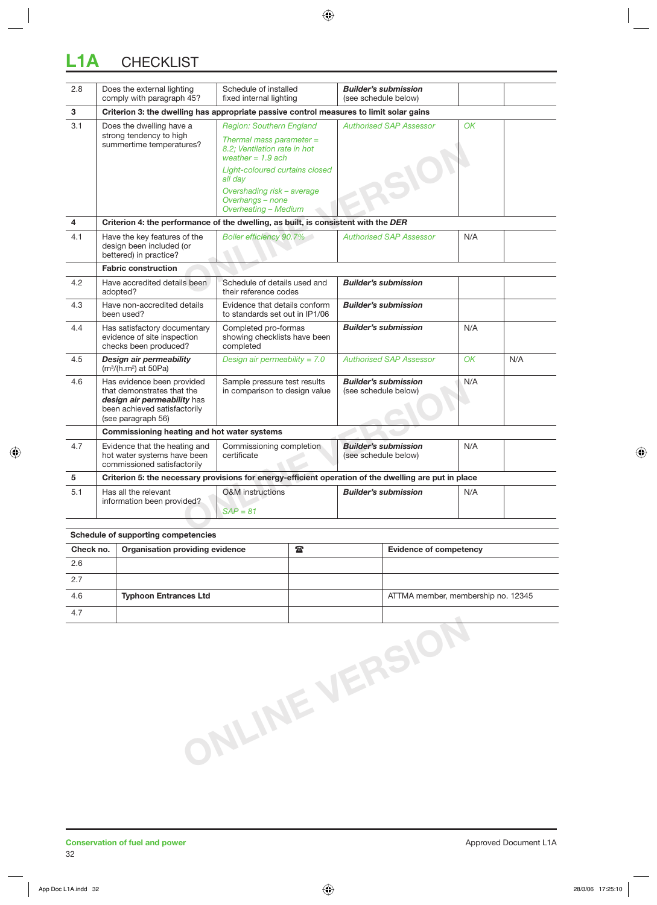## **L1A** CHECKLIST

| 2.8            | Does the external lighting<br>comply with paragraph 45?                                                                                       | Schedule of installed<br>fixed internal lighting                                  | <b>Builder's submission</b><br>(see schedule below) |     |     |  |  |  |
|----------------|-----------------------------------------------------------------------------------------------------------------------------------------------|-----------------------------------------------------------------------------------|-----------------------------------------------------|-----|-----|--|--|--|
| 3              | Criterion 3: the dwelling has appropriate passive control measures to limit solar gains                                                       |                                                                                   |                                                     |     |     |  |  |  |
| 3.1            | Does the dwelling have a<br>strong tendency to high<br>summertime temperatures?                                                               | <b>Region: Southern England</b>                                                   | <b>Authorised SAP Assessor</b>                      | OK  |     |  |  |  |
|                |                                                                                                                                               | Thermal mass parameter $=$<br>8.2; Ventilation rate in hot<br>weather = $1.9$ ach |                                                     |     |     |  |  |  |
|                |                                                                                                                                               | Light-coloured curtains closed<br>all day                                         |                                                     |     |     |  |  |  |
|                |                                                                                                                                               | Overshading risk - average<br>Overhangs - none<br>Overheating - Medium            |                                                     |     |     |  |  |  |
| $\overline{4}$ | Criterion 4: the performance of the dwelling, as built, is consistent with the DER                                                            |                                                                                   |                                                     |     |     |  |  |  |
| 4.1            | Have the key features of the<br>design been included (or<br>bettered) in practice?                                                            | Boiler efficiency 90.7%                                                           | <b>Authorised SAP Assessor</b>                      | N/A |     |  |  |  |
|                | <b>Fabric construction</b>                                                                                                                    |                                                                                   |                                                     |     |     |  |  |  |
| 4.2            | Have accredited details been<br>adopted?                                                                                                      | Schedule of details used and<br>their reference codes                             | <b>Builder's submission</b>                         |     |     |  |  |  |
| 4.3            | Have non-accredited details<br>been used?                                                                                                     | Evidence that details conform<br>to standards set out in IP1/06                   | <b>Builder's submission</b>                         |     |     |  |  |  |
| 4.4            | Has satisfactory documentary<br>evidence of site inspection<br>checks been produced?                                                          | Completed pro-formas<br>showing checklists have been<br>completed                 | <b>Builder's submission</b>                         | N/A |     |  |  |  |
| 4.5            | <b>Design air permeability</b><br>$(m3/(h.m2)$ at 50Pa)                                                                                       | Design air permeability = $7.0$                                                   | <b>Authorised SAP Assessor</b>                      | OK  | N/A |  |  |  |
| 4.6            | Has evidence been provided<br>that demonstrates that the<br>design air permeability has<br>been achieved satisfactorily<br>(see paragraph 56) | Sample pressure test results<br>in comparison to design value                     | <b>Builder's submission</b><br>(see schedule below) | N/A |     |  |  |  |
|                | Commissioning heating and hot water systems                                                                                                   |                                                                                   |                                                     |     |     |  |  |  |
| 4.7            | Evidence that the heating and<br>hot water systems have been<br>commissioned satisfactorily                                                   | Commissioning completion<br>certificate                                           | <b>Builder's submission</b><br>(see schedule below) | N/A |     |  |  |  |
| 5              | Criterion 5: the necessary provisions for energy-efficient operation of the dwelling are put in place                                         |                                                                                   |                                                     |     |     |  |  |  |
| 5.1            | Has all the relevant<br>information been provided?                                                                                            | <b>O&amp;M</b> instructions<br>$SAP = 81$                                         | <b>Builder's submission</b>                         | N/A |     |  |  |  |

| Schedule of supporting competencies |                                 |                 |                                    |  |  |  |  |  |
|-------------------------------------|---------------------------------|-----------------|------------------------------------|--|--|--|--|--|
| Check no.                           | Organisation providing evidence | $\tau_{\rm{m}}$ | <b>Evidence of competency</b>      |  |  |  |  |  |
| 2.6                                 |                                 |                 |                                    |  |  |  |  |  |
| 2.7                                 |                                 |                 |                                    |  |  |  |  |  |
| 4.6                                 | <b>Typhoon Entrances Ltd</b>    |                 | ATTMA member, membership no. 12345 |  |  |  |  |  |
| 4.7                                 |                                 |                 |                                    |  |  |  |  |  |
|                                     |                                 |                 |                                    |  |  |  |  |  |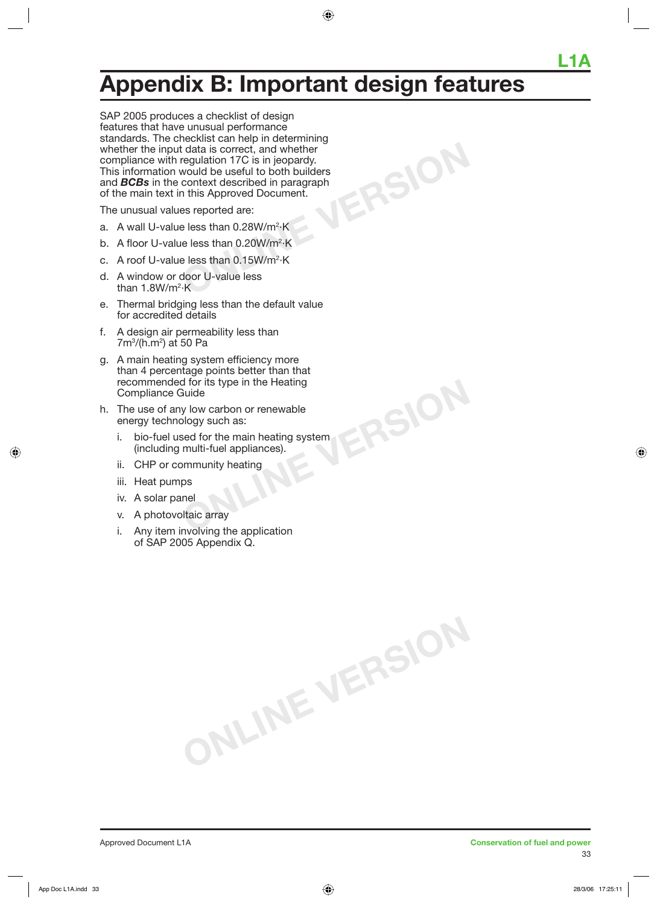## **Appendix B: Important design features**

**ONLINE VERSION**

**ONLINE VERSION**

**ONLINE VERSION**

SAP 2005 produces a checklist of design features that have unusual performance standards. The checklist can help in determining whether the input data is correct, and whether compliance with regulation 17C is in jeopardy. This information would be useful to both builders and *BCBs* in the context described in paragraph of the main text in this Approved Document.

The unusual values reported are:

- a. A wall U-value less than 0.28W/m<sup>2.</sup>K
- b. A floor U-value less than 0.20W/m<sup>2</sup>·K
- c. A roof U-value less than 0.15W/m<sup>2</sup>·K
- d. A window or door U-value less than 1.8W/m2 ·K
- e. Thermal bridging less than the default value for accredited details
- f. A design air permeability less than 7m3 /(h.m2 ) at 50 Pa
- g. A main heating system efficiency more than 4 percentage points better than that recommended for its type in the Heating Compliance Guide
- h. The use of any low carbon or renewable energy technology such as:
	- i. bio-fuel used for the main heating system (including multi-fuel appliances).
	- ii. CHP or community heating
	- iii. Heat pumps
	- iv. A solar panel
	- v. A photovoltaic array
	- i. Any item involving the application of SAP 2005 Appendix Q.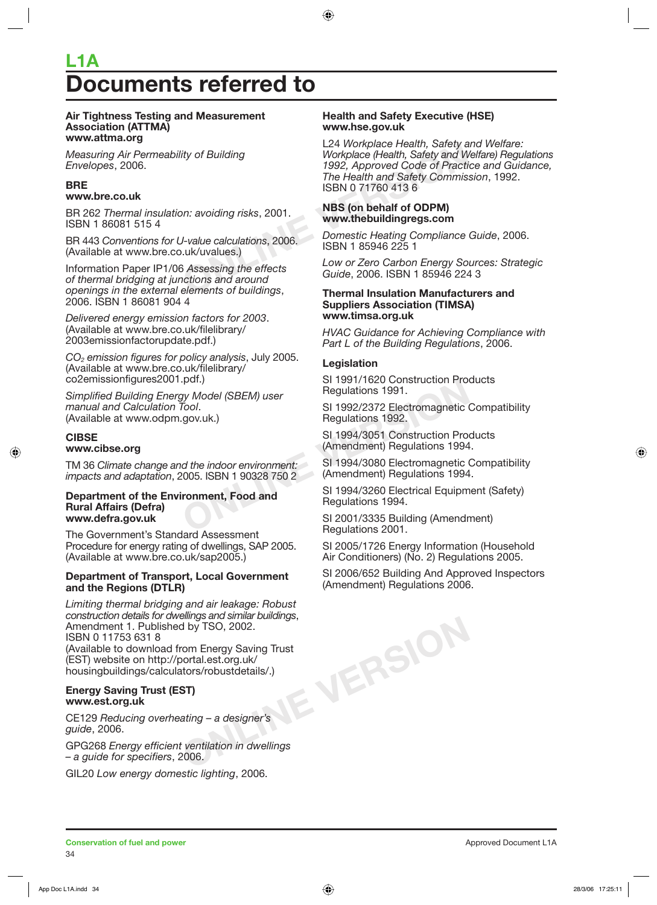## **Documents referred to L1A**

#### **Air Tightness Testing and Measurement Association (ATTMA) www.attma.org**

*Measuring Air Permeability of Building Envelopes*, 2006.

#### **BRE www.bre.co.uk**

BR 262 *Thermal insulation: avoiding risks*, 2001. ISBN 1 86081 515 4

BR 443 *Conventions for U-value calculations*, 2006. (Available at www.bre.co.uk/uvalues.)

Information Paper IP1/06 *Assessing the effects of thermal bridging at junctions and around openings in the external elements of buildings*, 2006. ISBN 1 86081 904 4

*Delivered energy emission factors for 2003*. (Available at www.bre.co.uk/filelibrary/ 2003emissionfactorupdate.pdf.)

*CO2 emission figures for policy analysis*, July 2005. (Available at www.bre.co.uk/filelibrary/ co2emissionfigures2001.pdf.)

*Simplified Building Energy Model (SBEM) user manual and Calculation Tool*. (Available at www.odpm.gov.uk.)

#### **CIBSE**

#### **www.cibse.org**

TM 36 *Climate change and the indoor environment: impacts and adaptation*, 2005. ISBN 1 90328 750 2

#### **Department of the Environment, Food and Rural Affairs (Defra) www.defra.gov.uk**

The Government's Standard Assessment Procedure for energy rating of dwellings, SAP 2005. (Available at www.bre.co.uk/sap2005.)

#### **Department of Transport, Local Government and the Regions (DTLR)**

**ONLINE VERSION** *Limiting thermal bridging and air leakage: Robust construction details for dwellings and similar buildings*, Amendment 1. Published by TSO, 2002. ISBN 0 11753 631 8 (Available to download from Energy Saving Trust (EST) website on http://portal.est.org.uk/ housingbuildings/calculators/robustdetails/.)

#### **Energy Saving Trust (EST) www.est.org.uk**

CE129 *Reducing overheating – a designer's guide*, 2006.

GPG268 *Energy efficient ventilation in dwellings – a guide for specifiers*, 2006.

GIL20 *Low energy domestic lighting*, 2006.

#### **Health and Safety Executive (HSE) www.hse.gov.uk**

E24 Workplace Health, Safety and W<br>
1992, Approved Code of Practic<br>
The Health and Safety Commis:<br>
ISBN 0717604136<br>
DISBN 0717604136<br>
DISBN 0717604136<br>
DISBN 0717604136<br>
DISBN 0717604136<br>
DISBN 1859462251<br>
DISBN 1859462251 L24 *Workplace Health, Safety and Welfare: Workplace (Health, Safety and Welfare) Regulations 1992, Approved Code of Practice and Guidance, The Health and Safety Commission*, 1992. ISBN 0 71760 413 6

#### **NBS (on behalf of ODPM) www.thebuildingregs.com**

*Domestic Heating Compliance Guide*, 2006. ISBN 1 85946 225 1

*Low or Zero Carbon Energy Sources: Strategic Guide*, 2006. ISBN 1 85946 224 3

#### **Thermal Insulation Manufacturers and Suppliers Association (TIMSA) www.timsa.org.uk**

*HVAC Guidance for Achieving Compliance with Part L of the Building Regulations*, 2006.

#### **Legislation**

SI 1991/1620 Construction Products Regulations 1991.

Formulations 1991/1620 Construction Pro-<br>
Tool.<br>
SI 1992/2372 Electromagnetic (<br>
Gov.uk.)<br>
SI 1992/2372 Electromagnetic (<br>
Regulations 1992.<br>
SI 1994/3051 Construction Pro-<br>
(Amendment) Regulations 1994<br>
d the indoor envir SI 1992/2372 Electromagnetic Compatibility Regulations 1992.

SI 1994/3051 Construction Products (Amendment) Regulations 1994.

SI 1994/3080 Electromagnetic Compatibility (Amendment) Regulations 1994.

SI 1994/3260 Electrical Equipment (Safety) Regulations 1994.

SI 2001/3335 Building (Amendment) Regulations 2001.

SI 2005/1726 Energy Information (Household Air Conditioners) (No. 2) Regulations 2005.

SI 2006/652 Building And Approved Inspectors (Amendment) Regulations 2006.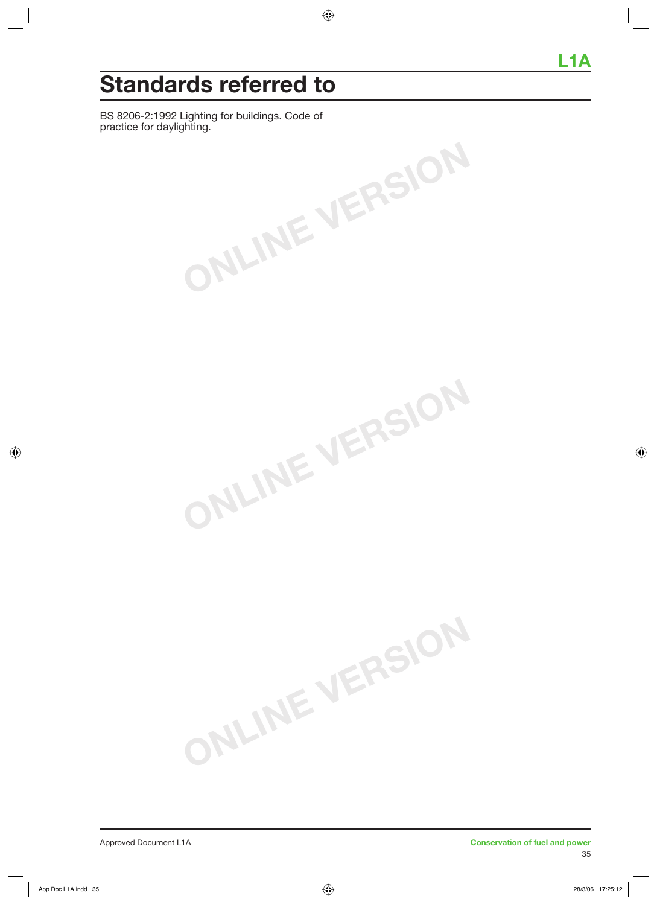## **Standards referred to**

BS 8206-2:1992 Lighting for buildings. Code of practice for daylighting.

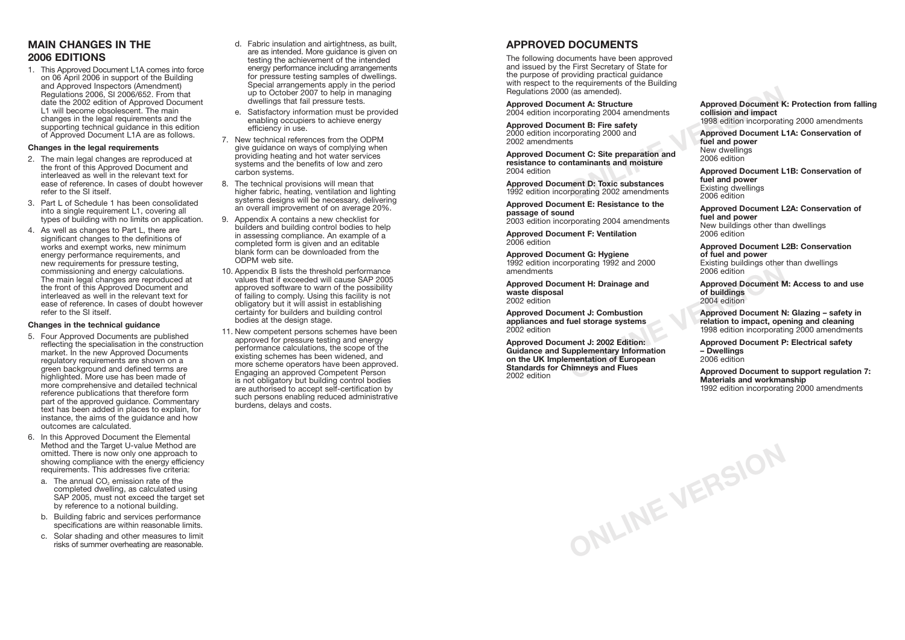### **APPROVED DOCUMENTS**

The following documents have been approved and issued by the First Secretary of State for the purpose of providing practical guidance with respect to the requirements of the Building Regulations 2000 (as amended).

**Approved Document A: Structure** 2004 edition incorporating 2004 amendments

**Approved Document B: Fire safety** 2000 edition incorporating 2000 and 2002 amendments

**Approved Document C: Site preparation and resistance to contaminants and moisture** 2004 edition

**Approved Document D: Toxic substances** 1992 edition incorporating 2002 amendments

**Approved Document E: Resistance to the passage of sound**

2003 edition incorporating 2004 amendments

**Approved Document F: Ventilation** 2006 edition

**Approved Document G: Hygiene** 1992 edition incorporating 1992 and 2000 amendments

**Approved Document H: Drainage and waste disposal** 2002 edition

**Approved Document J: Combustion appliances and fuel storage systems** 2002 edition

Fracting 1992 and 2008<br>
2006 edition<br>
ment H: Drainage and<br> **ONLINE SEARCE 2006** edition<br>
ment J: Combustion<br>
fuel storage systems<br>
fuel storage systems<br>
1998 edition to impact, ope<br>
1998 edition incorporation<br>
ment J: 200 **Approved Document J: 2002 Edition: Guidance and Supplementary Information on the UK Implementation of European Standards for Chimneys and Flues** 2002 edition

**ONLINE VERSION**

**Approved Document K: Protection from falling collision and impact** 1998 edition incorporating 2000 amendments

Fracting 2004 and the state of the state of the state of the state of the state of the state of the state of the state of the state of the state of the state of the state of the state of the state of the state of the state **Approved Document L1A: Conservation of fuel and power** New dwellings 2006 edition

**Approved Document L1B: Conservation of fuel and power** Existing dwellings 2006 edition

**Approved Document L2A: Conservation of fuel and power** New buildings other than dwellings 2006 edition

**Approved Document L2B: Conservation of fuel and power** Existing buildings other than dwellings 2006 edition

**Approved Document M: Access to and use of buildings** 2004 edition

**Approved Document N: Glazing – safety in relation to impact, opening and cleaning** 1998 edition incorporating 2000 amendments

**Approved Document P: Electrical safety – Dwellings** 2006 edition

**Approved Document to support regulation 7: Materials and workmanship** 1992 edition incorporating 2000 amendments